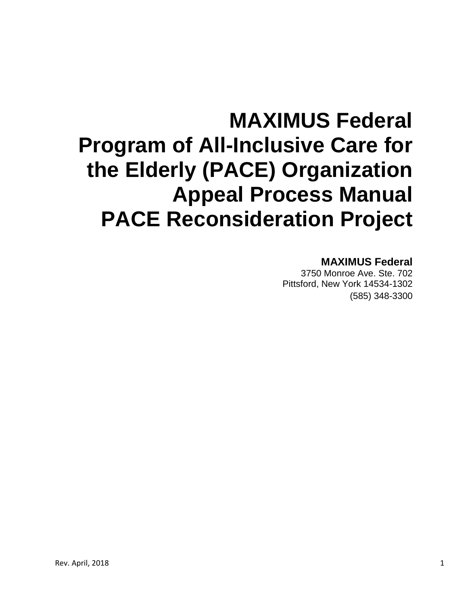# **MAXIMUS Federal Program of All-Inclusive Care for the Elderly (PACE) Organization Appeal Process Manual PACE Reconsideration Project**

# **MAXIMUS Federal**

3750 Monroe Ave. Ste. 702 Pittsford, New York 14534-1302 (585) 348-3300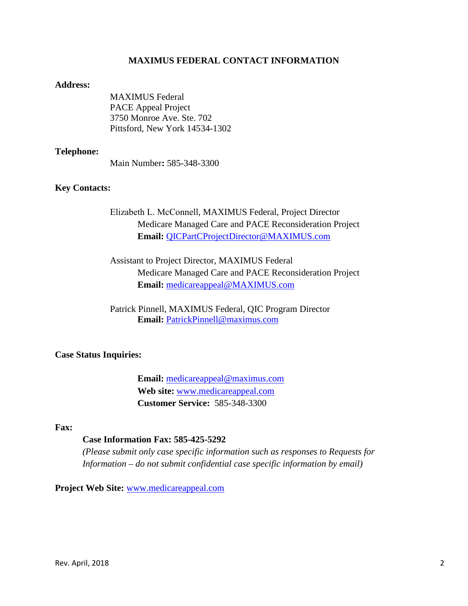### **MAXIMUS FEDERAL CONTACT INFORMATION**

#### **Address:**

MAXIMUS Federal PACE Appeal Project 3750 Monroe Ave. Ste. 702 Pittsford, New York 14534-1302

#### **Telephone:**

Main Number**:** 585-348-3300

#### **Key Contacts:**

Elizabeth L. McConnell, MAXIMUS Federal, Project Director Medicare Managed Care and PACE Reconsideration Project **Email:** [QICPartCProjectDirector@MAXIMUS.com](mailto:QICPartCProjectDirector@MAXIMUS.com)

Assistant to Project Director, MAXIMUS Federal Medicare Managed Care and PACE Reconsideration Project **Email:** [medicareappeal@MAXIMUS.com](mailto:medicareappeal@MAXIMUS.com)

Patrick Pinnell, MAXIMUS Federal, QIC Program Director **Email:** [PatrickPinnell@maximus.com](mailto:PatrickPinnell@maximus.com)

#### **Case Status Inquiries:**

**Email:** medicareappeal@maximus.com **Web site:** [www.medicareappeal.com](http://www.medicareappeal.com/) **Customer Service:** 585-348-3300

### **Fax:**

### **Case Information Fax: 585-425-5292**

*(Please submit only case specific information such as responses to Requests for Information – do not submit confidential case specific information by email)*

**Project Web Site:** [www.medicareappeal.com](http://www.medicareappeal.com/)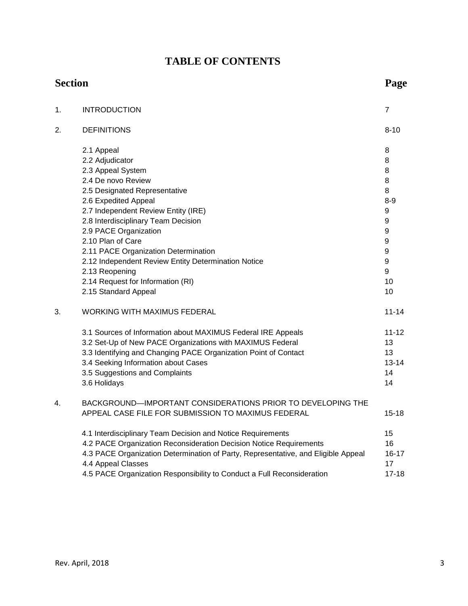# **TABLE OF CONTENTS**

|    | <b>Section</b>                                                                                          |                  |
|----|---------------------------------------------------------------------------------------------------------|------------------|
| 1. | <b>INTRODUCTION</b>                                                                                     | $\overline{7}$   |
| 2. | <b>DEFINITIONS</b>                                                                                      | $8 - 10$         |
|    | 2.1 Appeal                                                                                              | 8                |
|    | 2.2 Adjudicator                                                                                         | 8                |
|    | 2.3 Appeal System                                                                                       | 8                |
|    | 2.4 De novo Review                                                                                      | 8                |
|    | 2.5 Designated Representative                                                                           | 8                |
|    | 2.6 Expedited Appeal                                                                                    | $8-9$            |
|    | 2.7 Independent Review Entity (IRE)                                                                     | 9                |
|    | 2.8 Interdisciplinary Team Decision                                                                     | $\boldsymbol{9}$ |
|    | 2.9 PACE Organization                                                                                   | 9                |
|    | 2.10 Plan of Care                                                                                       | 9                |
|    | 2.11 PACE Organization Determination                                                                    | 9                |
|    | 2.12 Independent Review Entity Determination Notice                                                     | 9                |
|    | 2.13 Reopening                                                                                          | 9                |
|    | 2.14 Request for Information (RI)                                                                       | 10               |
|    | 2.15 Standard Appeal                                                                                    | 10               |
| 3. | <b>WORKING WITH MAXIMUS FEDERAL</b>                                                                     | $11 - 14$        |
|    | 3.1 Sources of Information about MAXIMUS Federal IRE Appeals                                            | $11 - 12$        |
|    | 3.2 Set-Up of New PACE Organizations with MAXIMUS Federal                                               | 13               |
|    | 3.3 Identifying and Changing PACE Organization Point of Contact                                         | 13               |
|    | 3.4 Seeking Information about Cases                                                                     | $13 - 14$        |
|    | 3.5 Suggestions and Complaints                                                                          | 14               |
|    | 3.6 Holidays                                                                                            | 14               |
| 4. | BACKGROUND-IMPORTANT CONSIDERATIONS PRIOR TO DEVELOPING THE                                             |                  |
|    | APPEAL CASE FILE FOR SUBMISSION TO MAXIMUS FEDERAL                                                      | $15 - 18$        |
|    | 4.1 Interdisciplinary Team Decision and Notice Requirements                                             | 15               |
|    | 4.2 PACE Organization Reconsideration Decision Notice Requirements                                      | 16               |
|    | 4.3 PACE Organization Determination of Party, Representative, and Eligible Appeal<br>4.4 Appeal Classes | 16-17<br>17      |
|    | 4.5 PACE Organization Responsibility to Conduct a Full Reconsideration                                  | $17 - 18$        |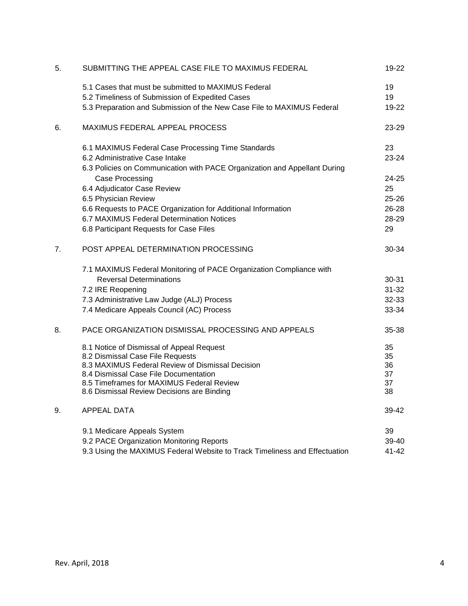| 5. | SUBMITTING THE APPEAL CASE FILE TO MAXIMUS FEDERAL                                                          | 19-22          |
|----|-------------------------------------------------------------------------------------------------------------|----------------|
|    | 5.1 Cases that must be submitted to MAXIMUS Federal<br>5.2 Timeliness of Submission of Expedited Cases      | 19<br>19       |
|    | 5.3 Preparation and Submission of the New Case File to MAXIMUS Federal                                      | 19-22          |
| 6. | MAXIMUS FEDERAL APPEAL PROCESS                                                                              | 23-29          |
|    | 6.1 MAXIMUS Federal Case Processing Time Standards                                                          | 23             |
|    | 6.2 Administrative Case Intake<br>6.3 Policies on Communication with PACE Organization and Appellant During | 23-24          |
|    | Case Processing                                                                                             | 24-25          |
|    | 6.4 Adjudicator Case Review                                                                                 | 25             |
|    | 6.5 Physician Review                                                                                        | $25 - 26$      |
|    | 6.6 Requests to PACE Organization for Additional Information                                                | $26 - 28$      |
|    | 6.7 MAXIMUS Federal Determination Notices<br>6.8 Participant Requests for Case Files                        | 28-29<br>29    |
|    |                                                                                                             |                |
| 7. | POST APPEAL DETERMINATION PROCESSING                                                                        | 30-34          |
|    | 7.1 MAXIMUS Federal Monitoring of PACE Organization Compliance with                                         |                |
|    | <b>Reversal Determinations</b>                                                                              | 30-31          |
|    | 7.2 IRE Reopening                                                                                           | $31 - 32$      |
|    | 7.3 Administrative Law Judge (ALJ) Process<br>7.4 Medicare Appeals Council (AC) Process                     | 32-33<br>33-34 |
|    |                                                                                                             |                |
| 8. | PACE ORGANIZATION DISMISSAL PROCESSING AND APPEALS                                                          | 35-38          |
|    | 8.1 Notice of Dismissal of Appeal Request                                                                   | 35             |
|    | 8.2 Dismissal Case File Requests<br>8.3 MAXIMUS Federal Review of Dismissal Decision                        | 35<br>36       |
|    | 8.4 Dismissal Case File Documentation                                                                       | 37             |
|    | 8.5 Timeframes for MAXIMUS Federal Review                                                                   | 37             |
|    | 8.6 Dismissal Review Decisions are Binding                                                                  | 38             |
| 9. | <b>APPEAL DATA</b>                                                                                          | 39-42          |
|    | 9.1 Medicare Appeals System                                                                                 | 39             |
|    | 9.2 PACE Organization Monitoring Reports                                                                    | 39-40          |
|    | 9.3 Using the MAXIMUS Federal Website to Track Timeliness and Effectuation                                  | 41-42          |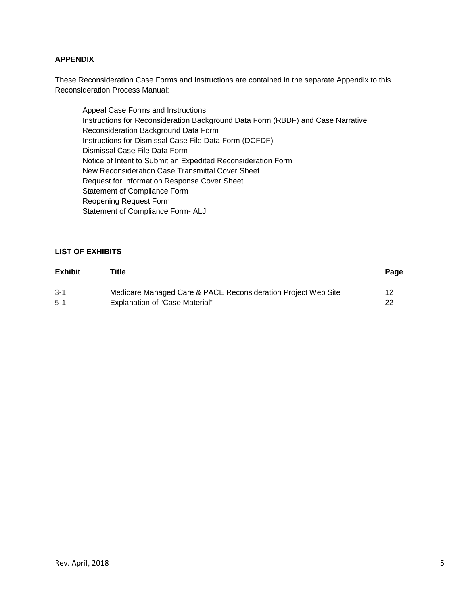#### **APPENDIX**

These Reconsideration Case Forms and Instructions are contained in the separate Appendix to this Reconsideration Process Manual:

Appeal Case Forms and Instructions Instructions for Reconsideration Background Data Form (RBDF) and Case Narrative Reconsideration Background Data Form Instructions for Dismissal Case File Data Form (DCFDF) Dismissal Case File Data Form Notice of Intent to Submit an Expedited Reconsideration Form New Reconsideration Case Transmittal Cover Sheet Request for Information Response Cover Sheet Statement of Compliance Form Reopening Request Form Statement of Compliance Form- ALJ

#### **LIST OF EXHIBITS**

| <b>Exhibit</b> | Title                                                         | Page |
|----------------|---------------------------------------------------------------|------|
| $3 - 1$        | Medicare Managed Care & PACE Reconsideration Project Web Site | 12   |
| $5-1$          | <b>Explanation of "Case Material"</b>                         | 22   |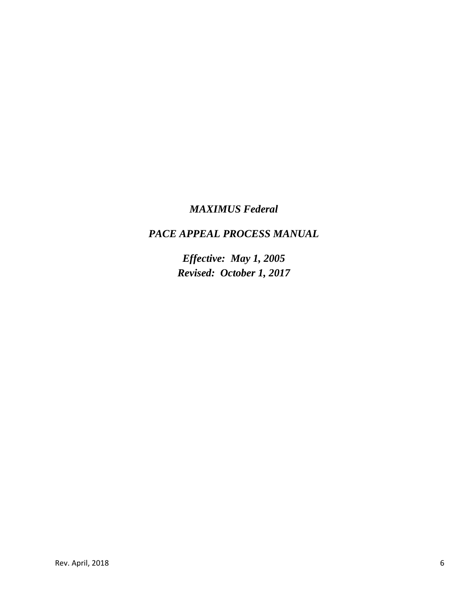# *MAXIMUS Federal*

# *PACE APPEAL PROCESS MANUAL*

*Effective: May 1, 2005 Revised: October 1, 2017*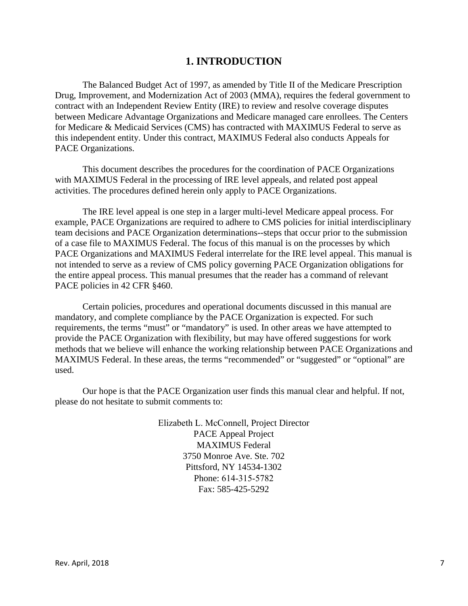# **1. INTRODUCTION**

The Balanced Budget Act of 1997, as amended by Title II of the Medicare Prescription Drug, Improvement, and Modernization Act of 2003 (MMA), requires the federal government to contract with an Independent Review Entity (IRE) to review and resolve coverage disputes between Medicare Advantage Organizations and Medicare managed care enrollees. The Centers for Medicare & Medicaid Services (CMS) has contracted with MAXIMUS Federal to serve as this independent entity. Under this contract, MAXIMUS Federal also conducts Appeals for PACE Organizations.

This document describes the procedures for the coordination of PACE Organizations with MAXIMUS Federal in the processing of IRE level appeals, and related post appeal activities. The procedures defined herein only apply to PACE Organizations.

The IRE level appeal is one step in a larger multi-level Medicare appeal process. For example, PACE Organizations are required to adhere to CMS policies for initial interdisciplinary team decisions and PACE Organization determinations--steps that occur prior to the submission of a case file to MAXIMUS Federal. The focus of this manual is on the processes by which PACE Organizations and MAXIMUS Federal interrelate for the IRE level appeal. This manual is not intended to serve as a review of CMS policy governing PACE Organization obligations for the entire appeal process. This manual presumes that the reader has a command of relevant PACE policies in 42 CFR §460.

Certain policies, procedures and operational documents discussed in this manual are mandatory, and complete compliance by the PACE Organization is expected. For such requirements, the terms "must" or "mandatory" is used. In other areas we have attempted to provide the PACE Organization with flexibility, but may have offered suggestions for work methods that we believe will enhance the working relationship between PACE Organizations and MAXIMUS Federal. In these areas, the terms "recommended" or "suggested" or "optional" are used.

Our hope is that the PACE Organization user finds this manual clear and helpful. If not, please do not hesitate to submit comments to:

> Elizabeth L. McConnell, Project Director PACE Appeal Project MAXIMUS Federal 3750 Monroe Ave. Ste. 702 Pittsford, NY 14534-1302 Phone: 614-315-5782 Fax: 585-425-5292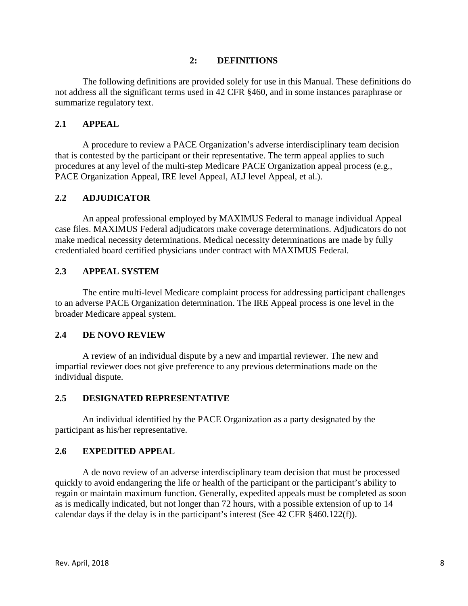### **2: DEFINITIONS**

The following definitions are provided solely for use in this Manual. These definitions do not address all the significant terms used in 42 CFR §460, and in some instances paraphrase or summarize regulatory text.

### **2.1 APPEAL**

A procedure to review a PACE Organization's adverse interdisciplinary team decision that is contested by the participant or their representative. The term appeal applies to such procedures at any level of the multi-step Medicare PACE Organization appeal process (e.g., PACE Organization Appeal, IRE level Appeal, ALJ level Appeal, et al.).

### **2.2 ADJUDICATOR**

An appeal professional employed by MAXIMUS Federal to manage individual Appeal case files. MAXIMUS Federal adjudicators make coverage determinations. Adjudicators do not make medical necessity determinations. Medical necessity determinations are made by fully credentialed board certified physicians under contract with MAXIMUS Federal.

#### **2.3 APPEAL SYSTEM**

The entire multi-level Medicare complaint process for addressing participant challenges to an adverse PACE Organization determination. The IRE Appeal process is one level in the broader Medicare appeal system.

#### **2.4 DE NOVO REVIEW**

A review of an individual dispute by a new and impartial reviewer. The new and impartial reviewer does not give preference to any previous determinations made on the individual dispute.

#### **2.5 DESIGNATED REPRESENTATIVE**

An individual identified by the PACE Organization as a party designated by the participant as his/her representative.

#### **2.6 EXPEDITED APPEAL**

A de novo review of an adverse interdisciplinary team decision that must be processed quickly to avoid endangering the life or health of the participant or the participant's ability to regain or maintain maximum function. Generally, expedited appeals must be completed as soon as is medically indicated, but not longer than 72 hours, with a possible extension of up to 14 calendar days if the delay is in the participant's interest (See 42 CFR §460.122(f)).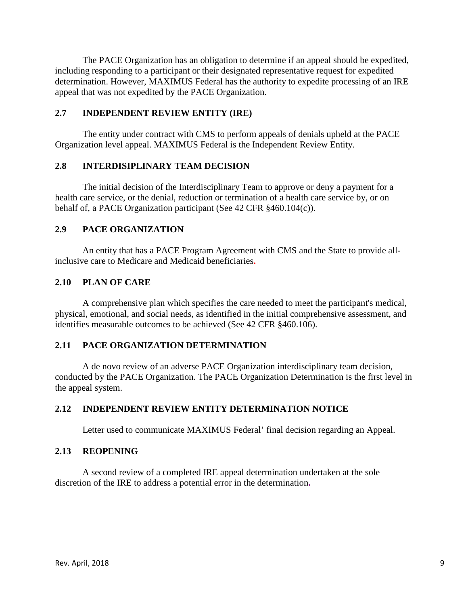The PACE Organization has an obligation to determine if an appeal should be expedited, including responding to a participant or their designated representative request for expedited determination. However, MAXIMUS Federal has the authority to expedite processing of an IRE appeal that was not expedited by the PACE Organization.

### **2.7 INDEPENDENT REVIEW ENTITY (IRE)**

The entity under contract with CMS to perform appeals of denials upheld at the PACE Organization level appeal. MAXIMUS Federal is the Independent Review Entity.

### **2.8 INTERDISIPLINARY TEAM DECISION**

The initial decision of the Interdisciplinary Team to approve or deny a payment for a health care service, or the denial, reduction or termination of a health care service by, or on behalf of, a PACE Organization participant (See 42 CFR §460.104(c)).

### **2.9 PACE ORGANIZATION**

An entity that has a PACE Program Agreement with CMS and the State to provide allinclusive care to Medicare and Medicaid beneficiaries**.** 

### **2.10 PLAN OF CARE**

A comprehensive plan which specifies the care needed to meet the participant's medical, physical, emotional, and social needs, as identified in the initial comprehensive assessment, and identifies measurable outcomes to be achieved (See 42 CFR §460.106).

### **2.11 PACE ORGANIZATION DETERMINATION**

A de novo review of an adverse PACE Organization interdisciplinary team decision, conducted by the PACE Organization. The PACE Organization Determination is the first level in the appeal system.

### **2.12 INDEPENDENT REVIEW ENTITY DETERMINATION NOTICE**

Letter used to communicate MAXIMUS Federal' final decision regarding an Appeal.

### **2.13 REOPENING**

A second review of a completed IRE appeal determination undertaken at the sole discretion of the IRE to address a potential error in the determination**.**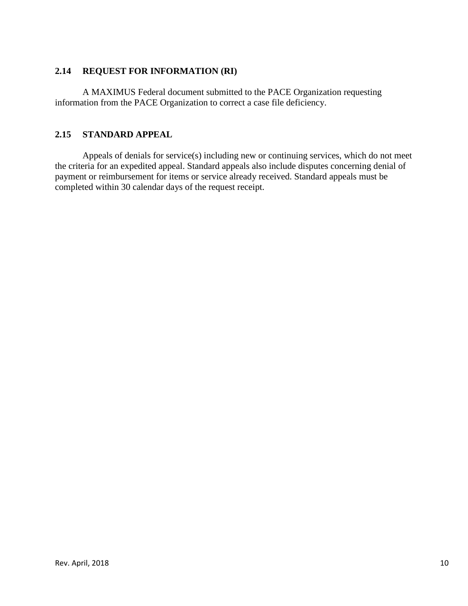# **2.14 REQUEST FOR INFORMATION (RI)**

A MAXIMUS Federal document submitted to the PACE Organization requesting information from the PACE Organization to correct a case file deficiency.

# **2.15 STANDARD APPEAL**

Appeals of denials for service(s) including new or continuing services, which do not meet the criteria for an expedited appeal. Standard appeals also include disputes concerning denial of payment or reimbursement for items or service already received. Standard appeals must be completed within 30 calendar days of the request receipt.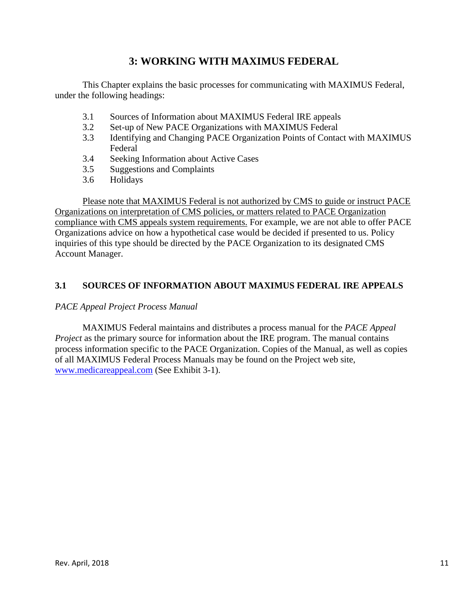# **3: WORKING WITH MAXIMUS FEDERAL**

This Chapter explains the basic processes for communicating with MAXIMUS Federal, under the following headings:

- 3.1 Sources of Information about MAXIMUS Federal IRE appeals
- 3.2 Set-up of New PACE Organizations with MAXIMUS Federal
- 3.3 Identifying and Changing PACE Organization Points of Contact with MAXIMUS Federal
- 3.4 Seeking Information about Active Cases
- 3.5 Suggestions and Complaints
- 3.6 Holidays

Please note that MAXIMUS Federal is not authorized by CMS to guide or instruct PACE Organizations on interpretation of CMS policies, or matters related to PACE Organization compliance with CMS appeals system requirements. For example, we are not able to offer PACE Organizations advice on how a hypothetical case would be decided if presented to us. Policy inquiries of this type should be directed by the PACE Organization to its designated CMS Account Manager.

# **3.1 SOURCES OF INFORMATION ABOUT MAXIMUS FEDERAL IRE APPEALS**

### *PACE Appeal Project Process Manual*

MAXIMUS Federal maintains and distributes a process manual for the *PACE Appeal Project* as the primary source for information about the IRE program. The manual contains process information specific to the PACE Organization. Copies of the Manual, as well as copies of all MAXIMUS Federal Process Manuals may be found on the Project web site, [www.medicareappeal.com](http://www.medicareappeal.com/) (See Exhibit 3-1).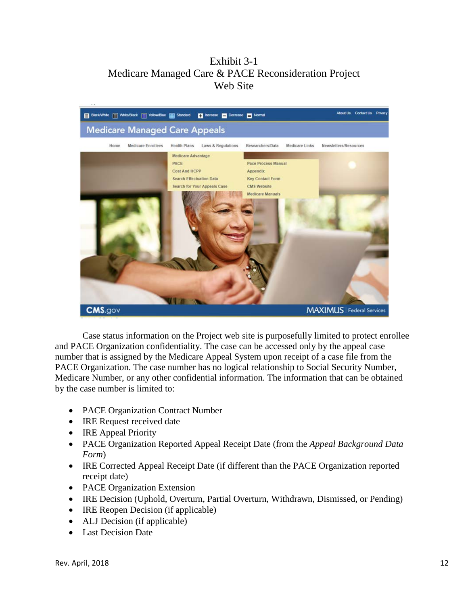# Exhibit 3-1 Medicare Managed Care & PACE Reconsideration Project Web Site



Case status information on the Project web site is purposefully limited to protect enrollee and PACE Organization confidentiality. The case can be accessed only by the appeal case number that is assigned by the Medicare Appeal System upon receipt of a case file from the PACE Organization. The case number has no logical relationship to Social Security Number, Medicare Number, or any other confidential information. The information that can be obtained by the case number is limited to:

- PACE Organization Contract Number
- IRE Request received date
- IRE Appeal Priority
- PACE Organization Reported Appeal Receipt Date (from the *Appeal Background Data Form*)
- IRE Corrected Appeal Receipt Date (if different than the PACE Organization reported receipt date)
- PACE Organization Extension
- IRE Decision (Uphold, Overturn, Partial Overturn, Withdrawn, Dismissed, or Pending)
- IRE Reopen Decision (if applicable)
- ALJ Decision (if applicable)
- Last Decision Date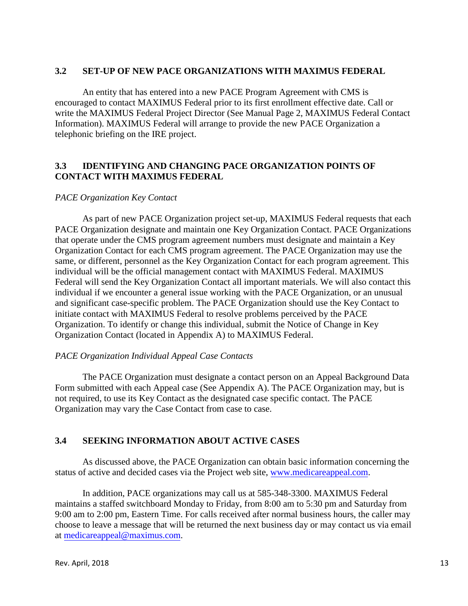### **3.2 SET-UP OF NEW PACE ORGANIZATIONS WITH MAXIMUS FEDERAL**

An entity that has entered into a new PACE Program Agreement with CMS is encouraged to contact MAXIMUS Federal prior to its first enrollment effective date. Call or write the MAXIMUS Federal Project Director (See Manual Page 2, MAXIMUS Federal Contact Information). MAXIMUS Federal will arrange to provide the new PACE Organization a telephonic briefing on the IRE project.

### **3.3 IDENTIFYING AND CHANGING PACE ORGANIZATION POINTS OF CONTACT WITH MAXIMUS FEDERAL**

#### *PACE Organization Key Contact*

As part of new PACE Organization project set-up, MAXIMUS Federal requests that each PACE Organization designate and maintain one Key Organization Contact. PACE Organizations that operate under the CMS program agreement numbers must designate and maintain a Key Organization Contact for each CMS program agreement. The PACE Organization may use the same, or different, personnel as the Key Organization Contact for each program agreement. This individual will be the official management contact with MAXIMUS Federal. MAXIMUS Federal will send the Key Organization Contact all important materials. We will also contact this individual if we encounter a general issue working with the PACE Organization, or an unusual and significant case-specific problem. The PACE Organization should use the Key Contact to initiate contact with MAXIMUS Federal to resolve problems perceived by the PACE Organization. To identify or change this individual, submit the Notice of Change in Key Organization Contact (located in Appendix A) to MAXIMUS Federal.

#### *PACE Organization Individual Appeal Case Contacts*

The PACE Organization must designate a contact person on an Appeal Background Data Form submitted with each Appeal case (See Appendix A). The PACE Organization may, but is not required, to use its Key Contact as the designated case specific contact. The PACE Organization may vary the Case Contact from case to case.

### **3.4 SEEKING INFORMATION ABOUT ACTIVE CASES**

As discussed above, the PACE Organization can obtain basic information concerning the status of active and decided cases via the Project web site, [www.medicareappeal.com.](http://www.medicareappeal.com/)

In addition, PACE organizations may call us at 585-348-3300. MAXIMUS Federal maintains a staffed switchboard Monday to Friday, from 8:00 am to 5:30 pm and Saturday from 9:00 am to 2:00 pm, Eastern Time. For calls received after normal business hours, the caller may choose to leave a message that will be returned the next business day or may contact us via email at [medicareappeal@maximus.com.](mailto:medicareappeal@maximus.com)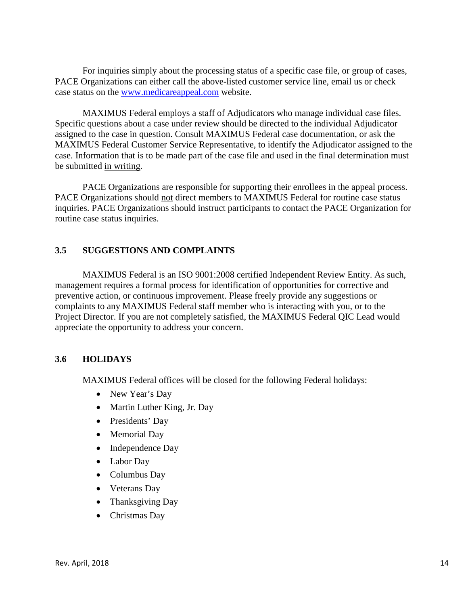For inquiries simply about the processing status of a specific case file, or group of cases, PACE Organizations can either call the above-listed customer service line, email us or check case status on the [www.medicareappeal.com](http://www.medicareappeal.com/) website.

MAXIMUS Federal employs a staff of Adjudicators who manage individual case files. Specific questions about a case under review should be directed to the individual Adjudicator assigned to the case in question. Consult MAXIMUS Federal case documentation, or ask the MAXIMUS Federal Customer Service Representative, to identify the Adjudicator assigned to the case. Information that is to be made part of the case file and used in the final determination must be submitted in writing.

PACE Organizations are responsible for supporting their enrollees in the appeal process. PACE Organizations should not direct members to MAXIMUS Federal for routine case status inquiries. PACE Organizations should instruct participants to contact the PACE Organization for routine case status inquiries.

# **3.5 SUGGESTIONS AND COMPLAINTS**

MAXIMUS Federal is an ISO 9001:2008 certified Independent Review Entity. As such, management requires a formal process for identification of opportunities for corrective and preventive action, or continuous improvement. Please freely provide any suggestions or complaints to any MAXIMUS Federal staff member who is interacting with you, or to the Project Director. If you are not completely satisfied, the MAXIMUS Federal QIC Lead would appreciate the opportunity to address your concern.

### **3.6 HOLIDAYS**

MAXIMUS Federal offices will be closed for the following Federal holidays:

- New Year's Day
- Martin Luther King, Jr. Day
- Presidents' Day
- Memorial Day
- Independence Day
- Labor Day
- Columbus Day
- Veterans Day
- Thanksgiving Day
- Christmas Day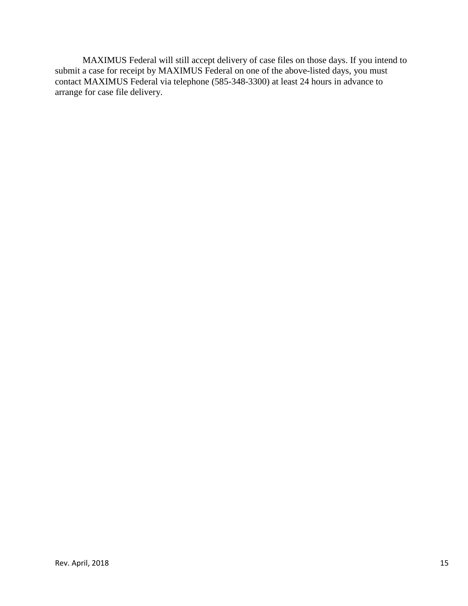MAXIMUS Federal will still accept delivery of case files on those days. If you intend to submit a case for receipt by MAXIMUS Federal on one of the above-listed days, you must contact MAXIMUS Federal via telephone (585-348-3300) at least 24 hours in advance to arrange for case file delivery.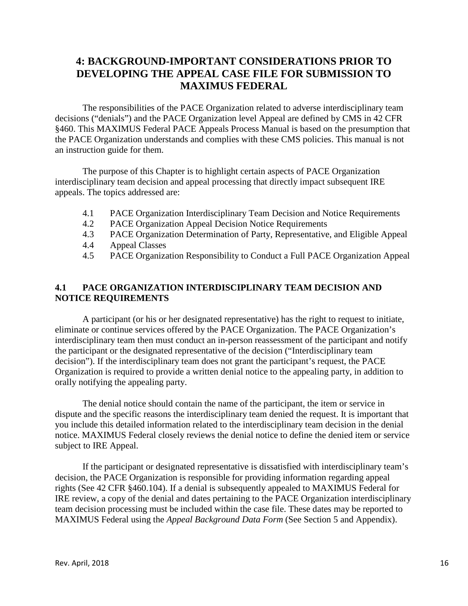# **4: BACKGROUND-IMPORTANT CONSIDERATIONS PRIOR TO DEVELOPING THE APPEAL CASE FILE FOR SUBMISSION TO MAXIMUS FEDERAL**

The responsibilities of the PACE Organization related to adverse interdisciplinary team decisions ("denials") and the PACE Organization level Appeal are defined by CMS in 42 CFR §460. This MAXIMUS Federal PACE Appeals Process Manual is based on the presumption that the PACE Organization understands and complies with these CMS policies. This manual is not an instruction guide for them.

The purpose of this Chapter is to highlight certain aspects of PACE Organization interdisciplinary team decision and appeal processing that directly impact subsequent IRE appeals. The topics addressed are:

- 4.1 PACE Organization Interdisciplinary Team Decision and Notice Requirements
- 4.2 PACE Organization Appeal Decision Notice Requirements
- 4.3 PACE Organization Determination of Party, Representative, and Eligible Appeal
- 4.4 Appeal Classes
- 4.5 PACE Organization Responsibility to Conduct a Full PACE Organization Appeal

# **4.1 PACE ORGANIZATION INTERDISCIPLINARY TEAM DECISION AND NOTICE REQUIREMENTS**

A participant (or his or her designated representative) has the right to request to initiate, eliminate or continue services offered by the PACE Organization. The PACE Organization's interdisciplinary team then must conduct an in-person reassessment of the participant and notify the participant or the designated representative of the decision ("Interdisciplinary team decision"). If the interdisciplinary team does not grant the participant's request, the PACE Organization is required to provide a written denial notice to the appealing party, in addition to orally notifying the appealing party.

The denial notice should contain the name of the participant, the item or service in dispute and the specific reasons the interdisciplinary team denied the request. It is important that you include this detailed information related to the interdisciplinary team decision in the denial notice. MAXIMUS Federal closely reviews the denial notice to define the denied item or service subject to IRE Appeal.

If the participant or designated representative is dissatisfied with interdisciplinary team's decision, the PACE Organization is responsible for providing information regarding appeal rights (See 42 CFR §460.104). If a denial is subsequently appealed to MAXIMUS Federal for IRE review, a copy of the denial and dates pertaining to the PACE Organization interdisciplinary team decision processing must be included within the case file. These dates may be reported to MAXIMUS Federal using the *Appeal Background Data Form* (See Section 5 and Appendix).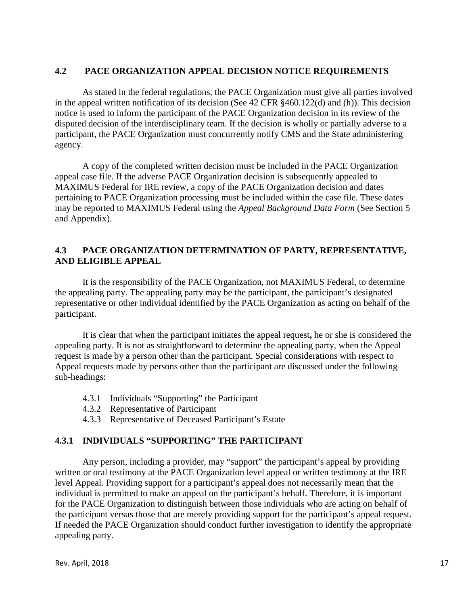### **4.2 PACE ORGANIZATION APPEAL DECISION NOTICE REQUIREMENTS**

As stated in the federal regulations, the PACE Organization must give all parties involved in the appeal written notification of its decision (See 42 CFR §460.122(d) and (h)). This decision notice is used to inform the participant of the PACE Organization decision in its review of the disputed decision of the interdisciplinary team. If the decision is wholly or partially adverse to a participant, the PACE Organization must concurrently notify CMS and the State administering agency.

A copy of the completed written decision must be included in the PACE Organization appeal case file. If the adverse PACE Organization decision is subsequently appealed to MAXIMUS Federal for IRE review, a copy of the PACE Organization decision and dates pertaining to PACE Organization processing must be included within the case file. These dates may be reported to MAXIMUS Federal using the *Appeal Background Data Form* (See Section 5 and Appendix).

### **4.3 PACE ORGANIZATION DETERMINATION OF PARTY, REPRESENTATIVE, AND ELIGIBLE APPEAL**

It is the responsibility of the PACE Organization, not MAXIMUS Federal, to determine the appealing party. The appealing party may be the participant, the participant's designated representative or other individual identified by the PACE Organization as acting on behalf of the participant.

It is clear that when the participant initiates the appeal request**,** he or she is considered the appealing party. It is not as straightforward to determine the appealing party, when the Appeal request is made by a person other than the participant. Special considerations with respect to Appeal requests made by persons other than the participant are discussed under the following sub-headings:

- 4.3.1 Individuals "Supporting" the Participant
- 4.3.2 Representative of Participant
- 4.3.3 Representative of Deceased Participant's Estate

# **4.3.1 INDIVIDUALS "SUPPORTING" THE PARTICIPANT**

Any person, including a provider, may "support" the participant's appeal by providing written or oral testimony at the PACE Organization level appeal or written testimony at the IRE level Appeal. Providing support for a participant's appeal does not necessarily mean that the individual is permitted to make an appeal on the participant's behalf. Therefore, it is important for the PACE Organization to distinguish between those individuals who are acting on behalf of the participant versus those that are merely providing support for the participant's appeal request. If needed the PACE Organization should conduct further investigation to identify the appropriate appealing party.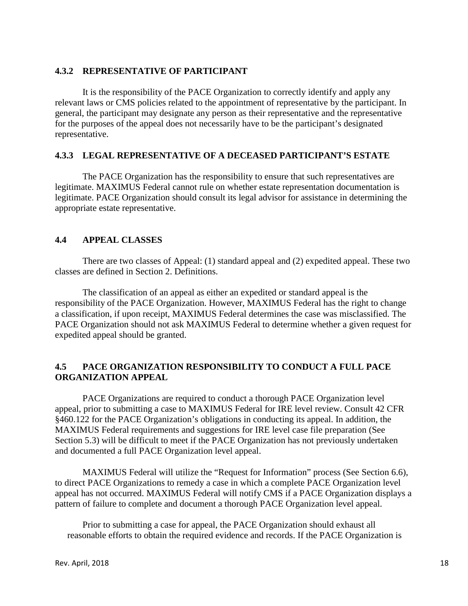### **4.3.2 REPRESENTATIVE OF PARTICIPANT**

It is the responsibility of the PACE Organization to correctly identify and apply any relevant laws or CMS policies related to the appointment of representative by the participant. In general, the participant may designate any person as their representative and the representative for the purposes of the appeal does not necessarily have to be the participant's designated representative.

### **4.3.3 LEGAL REPRESENTATIVE OF A DECEASED PARTICIPANT'S ESTATE**

The PACE Organization has the responsibility to ensure that such representatives are legitimate. MAXIMUS Federal cannot rule on whether estate representation documentation is legitimate. PACE Organization should consult its legal advisor for assistance in determining the appropriate estate representative.

# **4.4 APPEAL CLASSES**

There are two classes of Appeal: (1) standard appeal and (2) expedited appeal. These two classes are defined in Section 2. Definitions.

The classification of an appeal as either an expedited or standard appeal is the responsibility of the PACE Organization. However, MAXIMUS Federal has the right to change a classification, if upon receipt, MAXIMUS Federal determines the case was misclassified. The PACE Organization should not ask MAXIMUS Federal to determine whether a given request for expedited appeal should be granted.

# **4.5 PACE ORGANIZATION RESPONSIBILITY TO CONDUCT A FULL PACE ORGANIZATION APPEAL**

PACE Organizations are required to conduct a thorough PACE Organization level appeal, prior to submitting a case to MAXIMUS Federal for IRE level review. Consult 42 CFR §460.122 for the PACE Organization's obligations in conducting its appeal. In addition, the MAXIMUS Federal requirements and suggestions for IRE level case file preparation (See Section 5.3) will be difficult to meet if the PACE Organization has not previously undertaken and documented a full PACE Organization level appeal.

MAXIMUS Federal will utilize the "Request for Information" process (See Section 6.6), to direct PACE Organizations to remedy a case in which a complete PACE Organization level appeal has not occurred. MAXIMUS Federal will notify CMS if a PACE Organization displays a pattern of failure to complete and document a thorough PACE Organization level appeal.

Prior to submitting a case for appeal, the PACE Organization should exhaust all reasonable efforts to obtain the required evidence and records. If the PACE Organization is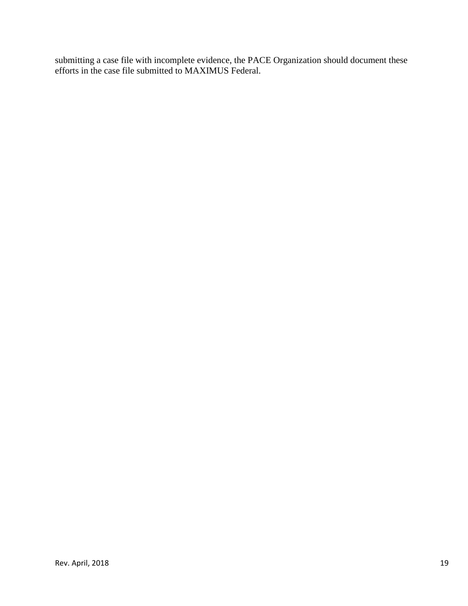submitting a case file with incomplete evidence, the PACE Organization should document these efforts in the case file submitted to MAXIMUS Federal.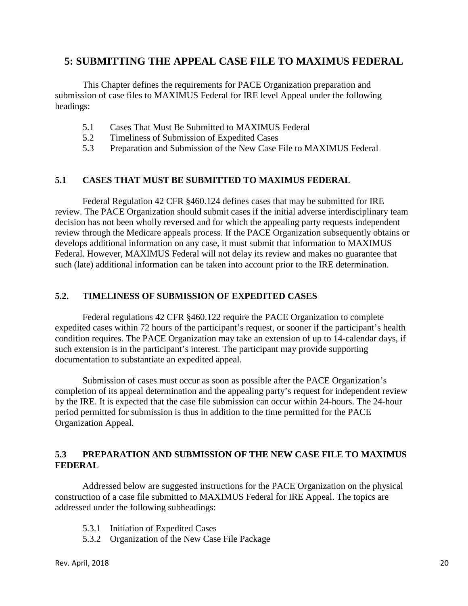# **5: SUBMITTING THE APPEAL CASE FILE TO MAXIMUS FEDERAL**

This Chapter defines the requirements for PACE Organization preparation and submission of case files to MAXIMUS Federal for IRE level Appeal under the following headings:

- 5.1 Cases That Must Be Submitted to MAXIMUS Federal
- 5.2 Timeliness of Submission of Expedited Cases
- 5.3 Preparation and Submission of the New Case File to MAXIMUS Federal

### **5.1 CASES THAT MUST BE SUBMITTED TO MAXIMUS FEDERAL**

Federal Regulation 42 CFR §460.124 defines cases that may be submitted for IRE review. The PACE Organization should submit cases if the initial adverse interdisciplinary team decision has not been wholly reversed and for which the appealing party requests independent review through the Medicare appeals process. If the PACE Organization subsequently obtains or develops additional information on any case, it must submit that information to MAXIMUS Federal. However, MAXIMUS Federal will not delay its review and makes no guarantee that such (late) additional information can be taken into account prior to the IRE determination.

### **5.2. TIMELINESS OF SUBMISSION OF EXPEDITED CASES**

Federal regulations 42 CFR §460.122 require the PACE Organization to complete expedited cases within 72 hours of the participant's request, or sooner if the participant's health condition requires. The PACE Organization may take an extension of up to 14-calendar days, if such extension is in the participant's interest. The participant may provide supporting documentation to substantiate an expedited appeal.

Submission of cases must occur as soon as possible after the PACE Organization's completion of its appeal determination and the appealing party's request for independent review by the IRE. It is expected that the case file submission can occur within 24-hours. The 24-hour period permitted for submission is thus in addition to the time permitted for the PACE Organization Appeal.

### **5.3 PREPARATION AND SUBMISSION OF THE NEW CASE FILE TO MAXIMUS FEDERAL**

Addressed below are suggested instructions for the PACE Organization on the physical construction of a case file submitted to MAXIMUS Federal for IRE Appeal. The topics are addressed under the following subheadings:

- 5.3.1 Initiation of Expedited Cases
- 5.3.2 Organization of the New Case File Package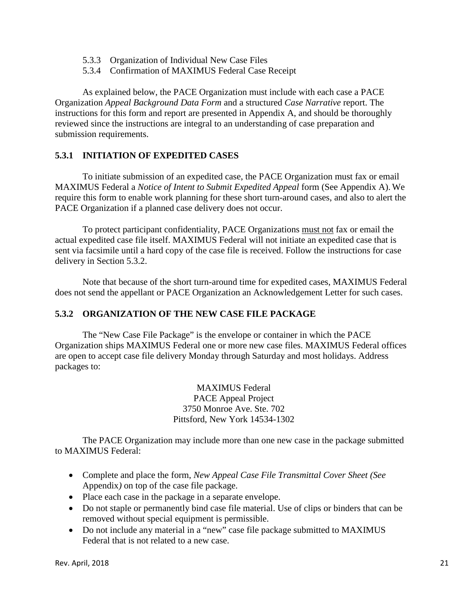- 5.3.3 Organization of Individual New Case Files
- 5.3.4 Confirmation of MAXIMUS Federal Case Receipt

As explained below, the PACE Organization must include with each case a PACE Organization *Appeal Background Data Form* and a structured *Case Narrative* report. The instructions for this form and report are presented in Appendix A, and should be thoroughly reviewed since the instructions are integral to an understanding of case preparation and submission requirements.

### **5.3.1 INITIATION OF EXPEDITED CASES**

To initiate submission of an expedited case, the PACE Organization must fax or email MAXIMUS Federal a *Notice of Intent to Submit Expedited Appeal* form (See Appendix A). We require this form to enable work planning for these short turn-around cases, and also to alert the PACE Organization if a planned case delivery does not occur.

To protect participant confidentiality, PACE Organizations must not fax or email the actual expedited case file itself. MAXIMUS Federal will not initiate an expedited case that is sent via facsimile until a hard copy of the case file is received. Follow the instructions for case delivery in Section 5.3.2.

Note that because of the short turn-around time for expedited cases, MAXIMUS Federal does not send the appellant or PACE Organization an Acknowledgement Letter for such cases.

# **5.3.2 ORGANIZATION OF THE NEW CASE FILE PACKAGE**

The "New Case File Package" is the envelope or container in which the PACE Organization ships MAXIMUS Federal one or more new case files. MAXIMUS Federal offices are open to accept case file delivery Monday through Saturday and most holidays. Address packages to:

> MAXIMUS Federal PACE Appeal Project 3750 Monroe Ave. Ste. 702 Pittsford, New York 14534-1302

The PACE Organization may include more than one new case in the package submitted to MAXIMUS Federal:

- Complete and place the form, *New Appeal Case File Transmittal Cover Sheet (See* Appendix*)* on top of the case file package.
- Place each case in the package in a separate envelope.
- Do not staple or permanently bind case file material. Use of clips or binders that can be removed without special equipment is permissible.
- Do not include any material in a "new" case file package submitted to MAXIMUS Federal that is not related to a new case.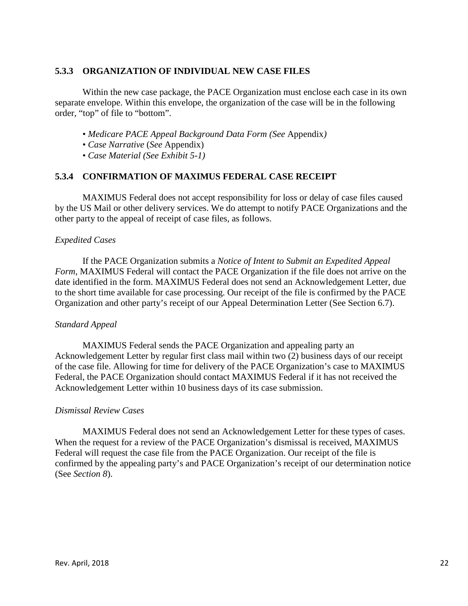### **5.3.3 ORGANIZATION OF INDIVIDUAL NEW CASE FILES**

Within the new case package, the PACE Organization must enclose each case in its own separate envelope. Within this envelope, the organization of the case will be in the following order, "top" of file to "bottom".

- *Medicare PACE Appeal Background Data Form (See* Appendix*)*
- *Case Narrative* (*See* Appendix)
- *Case Material (See Exhibit 5-1)*

### **5.3.4 CONFIRMATION OF MAXIMUS FEDERAL CASE RECEIPT**

MAXIMUS Federal does not accept responsibility for loss or delay of case files caused by the US Mail or other delivery services. We do attempt to notify PACE Organizations and the other party to the appeal of receipt of case files, as follows.

#### *Expedited Cases*

If the PACE Organization submits a *Notice of Intent to Submit an Expedited Appeal Form*, MAXIMUS Federal will contact the PACE Organization if the file does not arrive on the date identified in the form. MAXIMUS Federal does not send an Acknowledgement Letter, due to the short time available for case processing. Our receipt of the file is confirmed by the PACE Organization and other party's receipt of our Appeal Determination Letter (See Section 6.7).

#### *Standard Appeal*

MAXIMUS Federal sends the PACE Organization and appealing party an Acknowledgement Letter by regular first class mail within two (2) business days of our receipt of the case file. Allowing for time for delivery of the PACE Organization's case to MAXIMUS Federal, the PACE Organization should contact MAXIMUS Federal if it has not received the Acknowledgement Letter within 10 business days of its case submission.

#### *Dismissal Review Cases*

MAXIMUS Federal does not send an Acknowledgement Letter for these types of cases. When the request for a review of the PACE Organization's dismissal is received, MAXIMUS Federal will request the case file from the PACE Organization. Our receipt of the file is confirmed by the appealing party's and PACE Organization's receipt of our determination notice (See *Section 8*).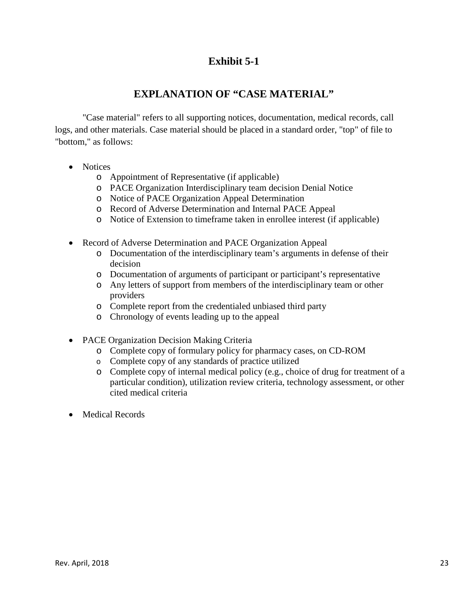# **Exhibit 5-1**

# **EXPLANATION OF "CASE MATERIAL"**

"Case material" refers to all supporting notices, documentation, medical records, call logs, and other materials. Case material should be placed in a standard order, "top" of file to "bottom," as follows:

- Notices
	- o Appointment of Representative (if applicable)
	- o PACE Organization Interdisciplinary team decision Denial Notice
	- o Notice of PACE Organization Appeal Determination
	- o Record of Adverse Determination and Internal PACE Appeal
	- o Notice of Extension to timeframe taken in enrollee interest (if applicable)
- Record of Adverse Determination and PACE Organization Appeal
	- o Documentation of the interdisciplinary team's arguments in defense of their decision
	- o Documentation of arguments of participant or participant's representative
	- o Any letters of support from members of the interdisciplinary team or other providers
	- o Complete report from the credentialed unbiased third party
	- o Chronology of events leading up to the appeal
- PACE Organization Decision Making Criteria
	- o Complete copy of formulary policy for pharmacy cases, on CD-ROM
		- o Complete copy of any standards of practice utilized
		- o Complete copy of internal medical policy (e.g., choice of drug for treatment of a particular condition), utilization review criteria, technology assessment, or other cited medical criteria
- Medical Records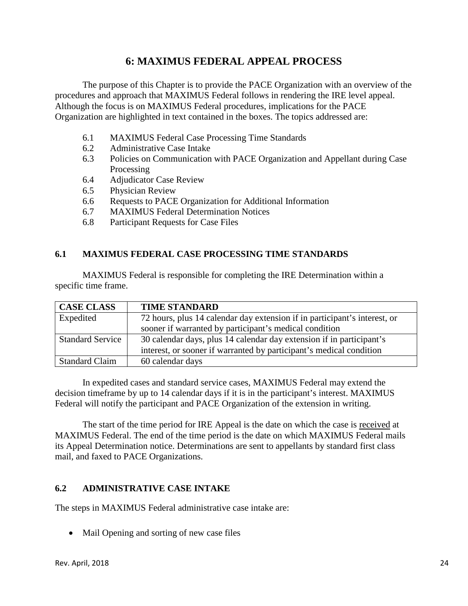# **6: MAXIMUS FEDERAL APPEAL PROCESS**

The purpose of this Chapter is to provide the PACE Organization with an overview of the procedures and approach that MAXIMUS Federal follows in rendering the IRE level appeal. Although the focus is on MAXIMUS Federal procedures, implications for the PACE Organization are highlighted in text contained in the boxes. The topics addressed are:

- 6.1 MAXIMUS Federal Case Processing Time Standards
- 6.2 Administrative Case Intake
- 6.3 Policies on Communication with PACE Organization and Appellant during Case Processing
- 6.4 Adjudicator Case Review
- 6.5 Physician Review
- 6.6 Requests to PACE Organization for Additional Information
- 6.7 MAXIMUS Federal Determination Notices
- 6.8 Participant Requests for Case Files

# **6.1 MAXIMUS FEDERAL CASE PROCESSING TIME STANDARDS**

MAXIMUS Federal is responsible for completing the IRE Determination within a specific time frame.

| <b>CASE CLASS</b>       | <b>TIME STANDARD</b>                                                      |
|-------------------------|---------------------------------------------------------------------------|
| Expedited               | 72 hours, plus 14 calendar day extension if in participant's interest, or |
|                         | sooner if warranted by participant's medical condition                    |
| <b>Standard Service</b> | 30 calendar days, plus 14 calendar day extension if in participant's      |
|                         | interest, or sooner if warranted by participant's medical condition       |
| <b>Standard Claim</b>   | 60 calendar days                                                          |

In expedited cases and standard service cases, MAXIMUS Federal may extend the decision timeframe by up to 14 calendar days if it is in the participant's interest. MAXIMUS Federal will notify the participant and PACE Organization of the extension in writing.

The start of the time period for IRE Appeal is the date on which the case is received at MAXIMUS Federal. The end of the time period is the date on which MAXIMUS Federal mails its Appeal Determination notice. Determinations are sent to appellants by standard first class mail, and faxed to PACE Organizations.

# **6.2 ADMINISTRATIVE CASE INTAKE**

The steps in MAXIMUS Federal administrative case intake are:

• Mail Opening and sorting of new case files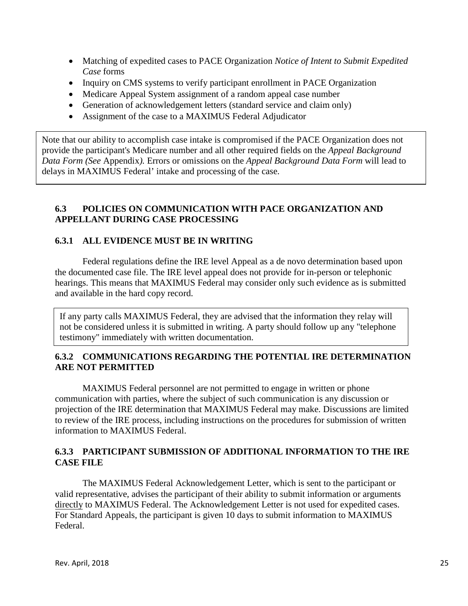- Matching of expedited cases to PACE Organization *Notice of Intent to Submit Expedited Case* forms
- Inquiry on CMS systems to verify participant enrollment in PACE Organization
- Medicare Appeal System assignment of a random appeal case number
- Generation of acknowledgement letters (standard service and claim only)
- Assignment of the case to a MAXIMUS Federal Adjudicator

Note that our ability to accomplish case intake is compromised if the PACE Organization does not provide the participant's Medicare number and all other required fields on the *Appeal Background Data Form (See* Appendix*).* Errors or omissions on the *Appeal Background Data Form* will lead to delays in MAXIMUS Federal' intake and processing of the case.

# **6.3 POLICIES ON COMMUNICATION WITH PACE ORGANIZATION AND APPELLANT DURING CASE PROCESSING**

### **6.3.1 ALL EVIDENCE MUST BE IN WRITING**

Federal regulations define the IRE level Appeal as a de novo determination based upon the documented case file. The IRE level appeal does not provide for in-person or telephonic hearings. This means that MAXIMUS Federal may consider only such evidence as is submitted and available in the hard copy record.

If any party calls MAXIMUS Federal, they are advised that the information they relay will not be considered unless it is submitted in writing. A party should follow up any "telephone testimony" immediately with written documentation.

### **6.3.2 COMMUNICATIONS REGARDING THE POTENTIAL IRE DETERMINATION ARE NOT PERMITTED**

MAXIMUS Federal personnel are not permitted to engage in written or phone communication with parties, where the subject of such communication is any discussion or projection of the IRE determination that MAXIMUS Federal may make. Discussions are limited to review of the IRE process, including instructions on the procedures for submission of written information to MAXIMUS Federal.

### **6.3.3 PARTICIPANT SUBMISSION OF ADDITIONAL INFORMATION TO THE IRE CASE FILE**

The MAXIMUS Federal Acknowledgement Letter, which is sent to the participant or valid representative, advises the participant of their ability to submit information or arguments directly to MAXIMUS Federal. The Acknowledgement Letter is not used for expedited cases. For Standard Appeals, the participant is given 10 days to submit information to MAXIMUS Federal.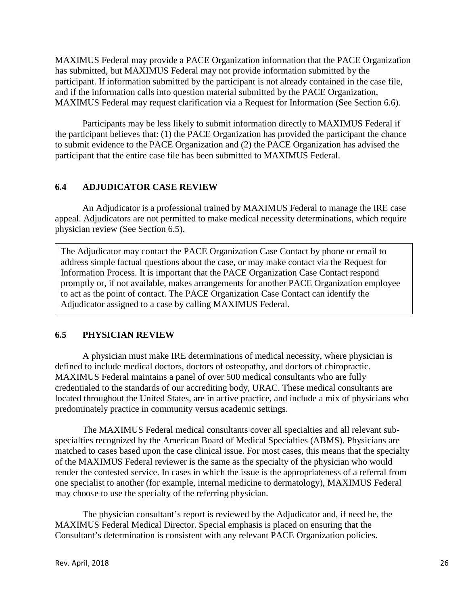MAXIMUS Federal may provide a PACE Organization information that the PACE Organization has submitted, but MAXIMUS Federal may not provide information submitted by the participant. If information submitted by the participant is not already contained in the case file, and if the information calls into question material submitted by the PACE Organization, MAXIMUS Federal may request clarification via a Request for Information (See Section 6.6).

Participants may be less likely to submit information directly to MAXIMUS Federal if the participant believes that: (1) the PACE Organization has provided the participant the chance to submit evidence to the PACE Organization and (2) the PACE Organization has advised the participant that the entire case file has been submitted to MAXIMUS Federal.

### **6.4 ADJUDICATOR CASE REVIEW**

An Adjudicator is a professional trained by MAXIMUS Federal to manage the IRE case appeal. Adjudicators are not permitted to make medical necessity determinations, which require physician review (See Section 6.5).

The Adjudicator may contact the PACE Organization Case Contact by phone or email to address simple factual questions about the case, or may make contact via the Request for Information Process. It is important that the PACE Organization Case Contact respond promptly or, if not available, makes arrangements for another PACE Organization employee to act as the point of contact. The PACE Organization Case Contact can identify the Adjudicator assigned to a case by calling MAXIMUS Federal.

### **6.5 PHYSICIAN REVIEW**

A physician must make IRE determinations of medical necessity, where physician is defined to include medical doctors, doctors of osteopathy, and doctors of chiropractic. MAXIMUS Federal maintains a panel of over 500 medical consultants who are fully credentialed to the standards of our accrediting body, URAC. These medical consultants are located throughout the United States, are in active practice, and include a mix of physicians who predominately practice in community versus academic settings.

The MAXIMUS Federal medical consultants cover all specialties and all relevant subspecialties recognized by the American Board of Medical Specialties (ABMS). Physicians are matched to cases based upon the case clinical issue. For most cases, this means that the specialty of the MAXIMUS Federal reviewer is the same as the specialty of the physician who would render the contested service. In cases in which the issue is the appropriateness of a referral from one specialist to another (for example, internal medicine to dermatology), MAXIMUS Federal may choose to use the specialty of the referring physician.

The physician consultant's report is reviewed by the Adjudicator and, if need be, the MAXIMUS Federal Medical Director. Special emphasis is placed on ensuring that the Consultant's determination is consistent with any relevant PACE Organization policies.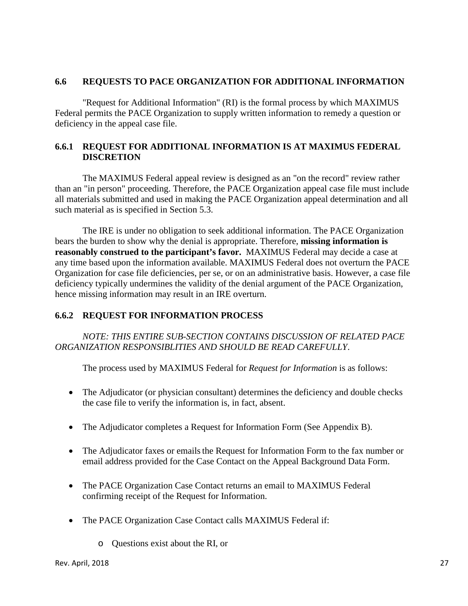### **6.6 REQUESTS TO PACE ORGANIZATION FOR ADDITIONAL INFORMATION**

"Request for Additional Information" (RI) is the formal process by which MAXIMUS Federal permits the PACE Organization to supply written information to remedy a question or deficiency in the appeal case file.

### **6.6.1 REQUEST FOR ADDITIONAL INFORMATION IS AT MAXIMUS FEDERAL DISCRETION**

The MAXIMUS Federal appeal review is designed as an "on the record" review rather than an "in person" proceeding. Therefore, the PACE Organization appeal case file must include all materials submitted and used in making the PACE Organization appeal determination and all such material as is specified in Section 5.3.

The IRE is under no obligation to seek additional information. The PACE Organization bears the burden to show why the denial is appropriate. Therefore, **missing information is reasonably construed to the participant's favor.** MAXIMUS Federal may decide a case at any time based upon the information available. MAXIMUS Federal does not overturn the PACE Organization for case file deficiencies, per se, or on an administrative basis. However, a case file deficiency typically undermines the validity of the denial argument of the PACE Organization, hence missing information may result in an IRE overturn.

# **6.6.2 REQUEST FOR INFORMATION PROCESS**

*NOTE: THIS ENTIRE SUB-SECTION CONTAINS DISCUSSION OF RELATED PACE ORGANIZATION RESPONSIBLITIES AND SHOULD BE READ CAREFULLY*.

The process used by MAXIMUS Federal for *Request for Information* is as follows:

- The Adjudicator (or physician consultant) determines the deficiency and double checks the case file to verify the information is, in fact, absent.
- The Adjudicator completes a Request for Information Form (See Appendix B).
- The Adjudicator faxes or emails the Request for Information Form to the fax number or email address provided for the Case Contact on the Appeal Background Data Form.
- The PACE Organization Case Contact returns an email to MAXIMUS Federal confirming receipt of the Request for Information.
- The PACE Organization Case Contact calls MAXIMUS Federal if:
	- o Questions exist about the RI, or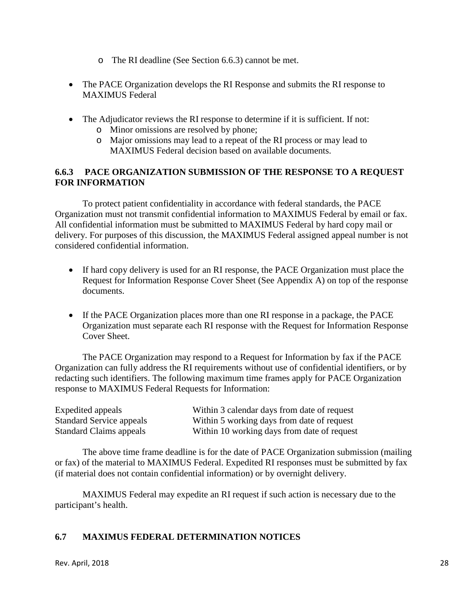- o The RI deadline (See Section 6.6.3) cannot be met.
- The PACE Organization develops the RI Response and submits the RI response to MAXIMUS Federal
- The Adjudicator reviews the RI response to determine if it is sufficient. If not:
	- o Minor omissions are resolved by phone;
	- o Major omissions may lead to a repeat of the RI process or may lead to MAXIMUS Federal decision based on available documents.

### **6.6.3 PACE ORGANIZATION SUBMISSION OF THE RESPONSE TO A REQUEST FOR INFORMATION**

To protect patient confidentiality in accordance with federal standards, the PACE Organization must not transmit confidential information to MAXIMUS Federal by email or fax. All confidential information must be submitted to MAXIMUS Federal by hard copy mail or delivery. For purposes of this discussion, the MAXIMUS Federal assigned appeal number is not considered confidential information.

- If hard copy delivery is used for an RI response, the PACE Organization must place the Request for Information Response Cover Sheet (See Appendix A) on top of the response documents.
- If the PACE Organization places more than one RI response in a package, the PACE Organization must separate each RI response with the Request for Information Response Cover Sheet.

The PACE Organization may respond to a Request for Information by fax if the PACE Organization can fully address the RI requirements without use of confidential identifiers, or by redacting such identifiers. The following maximum time frames apply for PACE Organization response to MAXIMUS Federal Requests for Information:

| Expedited appeals               | Within 3 calendar days from date of request |
|---------------------------------|---------------------------------------------|
| <b>Standard Service appeals</b> | Within 5 working days from date of request  |
| <b>Standard Claims appeals</b>  | Within 10 working days from date of request |

The above time frame deadline is for the date of PACE Organization submission (mailing or fax) of the material to MAXIMUS Federal. Expedited RI responses must be submitted by fax (if material does not contain confidential information) or by overnight delivery.

MAXIMUS Federal may expedite an RI request if such action is necessary due to the participant's health.

# **6.7 MAXIMUS FEDERAL DETERMINATION NOTICES**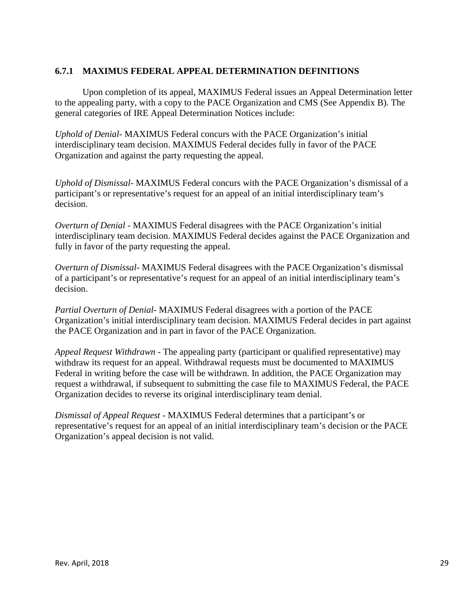### **6.7.1 MAXIMUS FEDERAL APPEAL DETERMINATION DEFINITIONS**

Upon completion of its appeal, MAXIMUS Federal issues an Appeal Determination letter to the appealing party, with a copy to the PACE Organization and CMS (See Appendix B). The general categories of IRE Appeal Determination Notices include:

*Uphold of Denial-* MAXIMUS Federal concurs with the PACE Organization's initial interdisciplinary team decision. MAXIMUS Federal decides fully in favor of the PACE Organization and against the party requesting the appeal.

*Uphold of Dismissal-* MAXIMUS Federal concurs with the PACE Organization's dismissal of a participant's or representative's request for an appeal of an initial interdisciplinary team's decision.

*Overturn of Denial -* MAXIMUS Federal disagrees with the PACE Organization's initial interdisciplinary team decision. MAXIMUS Federal decides against the PACE Organization and fully in favor of the party requesting the appeal.

*Overturn of Dismissal-* MAXIMUS Federal disagrees with the PACE Organization's dismissal of a participant's or representative's request for an appeal of an initial interdisciplinary team's decision.

*Partial Overturn of Denial-* MAXIMUS Federal disagrees with a portion of the PACE Organization's initial interdisciplinary team decision. MAXIMUS Federal decides in part against the PACE Organization and in part in favor of the PACE Organization.

*Appeal Request Withdrawn -* The appealing party (participant or qualified representative) may withdraw its request for an appeal. Withdrawal requests must be documented to MAXIMUS Federal in writing before the case will be withdrawn. In addition, the PACE Organization may request a withdrawal, if subsequent to submitting the case file to MAXIMUS Federal, the PACE Organization decides to reverse its original interdisciplinary team denial.

*Dismissal of Appeal Request -* MAXIMUS Federal determines that a participant's or representative's request for an appeal of an initial interdisciplinary team's decision or the PACE Organization's appeal decision is not valid.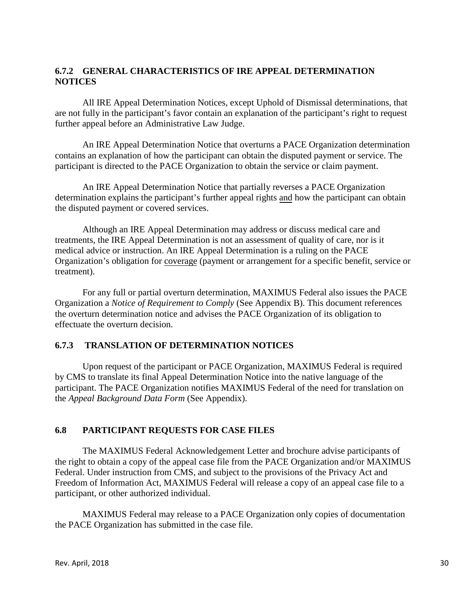# **6.7.2 GENERAL CHARACTERISTICS OF IRE APPEAL DETERMINATION NOTICES**

All IRE Appeal Determination Notices, except Uphold of Dismissal determinations, that are not fully in the participant's favor contain an explanation of the participant's right to request further appeal before an Administrative Law Judge.

An IRE Appeal Determination Notice that overturns a PACE Organization determination contains an explanation of how the participant can obtain the disputed payment or service. The participant is directed to the PACE Organization to obtain the service or claim payment.

An IRE Appeal Determination Notice that partially reverses a PACE Organization determination explains the participant's further appeal rights and how the participant can obtain the disputed payment or covered services.

Although an IRE Appeal Determination may address or discuss medical care and treatments, the IRE Appeal Determination is not an assessment of quality of care, nor is it medical advice or instruction. An IRE Appeal Determination is a ruling on the PACE Organization's obligation for coverage (payment or arrangement for a specific benefit, service or treatment).

For any full or partial overturn determination, MAXIMUS Federal also issues the PACE Organization a *Notice of Requirement to Comply* (See Appendix B). This document references the overturn determination notice and advises the PACE Organization of its obligation to effectuate the overturn decision.

### **6.7.3 TRANSLATION OF DETERMINATION NOTICES**

Upon request of the participant or PACE Organization, MAXIMUS Federal is required by CMS to translate its final Appeal Determination Notice into the native language of the participant. The PACE Organization notifies MAXIMUS Federal of the need for translation on the *Appeal Background Data Form* (See Appendix).

# **6.8 PARTICIPANT REQUESTS FOR CASE FILES**

The MAXIMUS Federal Acknowledgement Letter and brochure advise participants of the right to obtain a copy of the appeal case file from the PACE Organization and/or MAXIMUS Federal. Under instruction from CMS, and subject to the provisions of the Privacy Act and Freedom of Information Act, MAXIMUS Federal will release a copy of an appeal case file to a participant, or other authorized individual.

MAXIMUS Federal may release to a PACE Organization only copies of documentation the PACE Organization has submitted in the case file.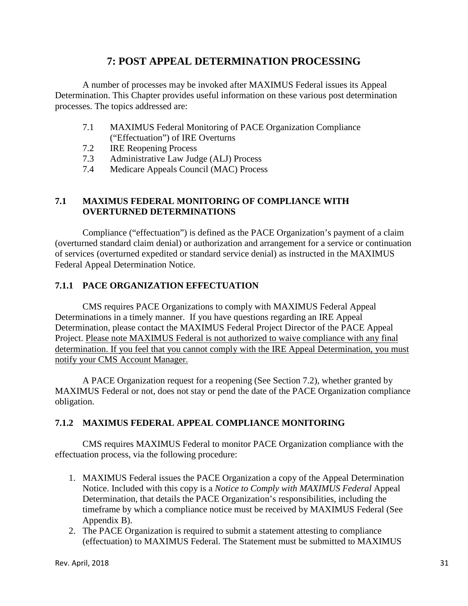# **7: POST APPEAL DETERMINATION PROCESSING**

A number of processes may be invoked after MAXIMUS Federal issues its Appeal Determination. This Chapter provides useful information on these various post determination processes. The topics addressed are:

- 7.1 MAXIMUS Federal Monitoring of PACE Organization Compliance ("Effectuation") of IRE Overturns
- 7.2 IRE Reopening Process
- 7.3 Administrative Law Judge (ALJ) Process
- 7.4 Medicare Appeals Council (MAC) Process

### **7.1 MAXIMUS FEDERAL MONITORING OF COMPLIANCE WITH OVERTURNED DETERMINATIONS**

Compliance ("effectuation") is defined as the PACE Organization's payment of a claim (overturned standard claim denial) or authorization and arrangement for a service or continuation of services (overturned expedited or standard service denial) as instructed in the MAXIMUS Federal Appeal Determination Notice.

# **7.1.1 PACE ORGANIZATION EFFECTUATION**

CMS requires PACE Organizations to comply with MAXIMUS Federal Appeal Determinations in a timely manner. If you have questions regarding an IRE Appeal Determination, please contact the MAXIMUS Federal Project Director of the PACE Appeal Project. Please note MAXIMUS Federal is not authorized to waive compliance with any final determination. If you feel that you cannot comply with the IRE Appeal Determination, you must notify your CMS Account Manager.

A PACE Organization request for a reopening (See Section 7.2), whether granted by MAXIMUS Federal or not, does not stay or pend the date of the PACE Organization compliance obligation.

# **7.1.2 MAXIMUS FEDERAL APPEAL COMPLIANCE MONITORING**

CMS requires MAXIMUS Federal to monitor PACE Organization compliance with the effectuation process, via the following procedure:

- 1. MAXIMUS Federal issues the PACE Organization a copy of the Appeal Determination Notice. Included with this copy is a *Notice to Comply with MAXIMUS Federal* Appeal Determination*,* that details the PACE Organization's responsibilities, including the timeframe by which a compliance notice must be received by MAXIMUS Federal (See Appendix B).
- 2. The PACE Organization is required to submit a statement attesting to compliance (effectuation) to MAXIMUS Federal. The Statement must be submitted to MAXIMUS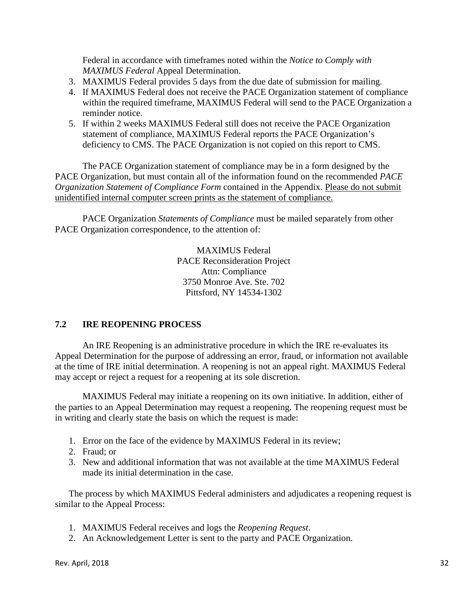Federal in accordance with timeframes noted within the *Notice to Comply with MAXIMUS Federal* Appeal Determination.

- 3. MAXIMUS Federal provides 5 days from the due date of submission for mailing.
- 4. If MAXIMUS Federal does not receive the PACE Organization statement of compliance within the required timeframe, MAXIMUS Federal will send to the PACE Organization a reminder notice.
- 5. If within 2 weeks MAXIMUS Federal still does not receive the PACE Organization statement of compliance, MAXIMUS Federal reports the PACE Organization's deficiency to CMS. The PACE Organization is not copied on this report to CMS.

The PACE Organization statement of compliance may be in a form designed by the PACE Organization, but must contain all of the information found on the recommended *PACE Organization Statement of Compliance Form* contained in the Appendix. Please do not submit unidentified internal computer screen prints as the statement of compliance.

PACE Organization *Statements of Compliance* must be mailed separately from other PACE Organization correspondence, to the attention of:

> MAXIMUS Federal PACE Reconsideration Project Attn: Compliance 3750 Monroe Ave. Ste. 702 Pittsford, NY 14534-1302

# **7.2 IRE REOPENING PROCESS**

An IRE Reopening is an administrative procedure in which the IRE re-evaluates its Appeal Determination for the purpose of addressing an error, fraud, or information not available at the time of IRE initial determination. A reopening is not an appeal right. MAXIMUS Federal may accept or reject a request for a reopening at its sole discretion.

MAXIMUS Federal may initiate a reopening on its own initiative. In addition, either of the parties to an Appeal Determination may request a reopening. The reopening request must be in writing and clearly state the basis on which the request is made:

- 1. Error on the face of the evidence by MAXIMUS Federal in its review;
- 2. Fraud; or
- 3. New and additional information that was not available at the time MAXIMUS Federal made its initial determination in the case.

The process by which MAXIMUS Federal administers and adjudicates a reopening request is similar to the Appeal Process:

- 1. MAXIMUS Federal receives and logs the *Reopening Request*.
- 2. An Acknowledgement Letter is sent to the party and PACE Organization.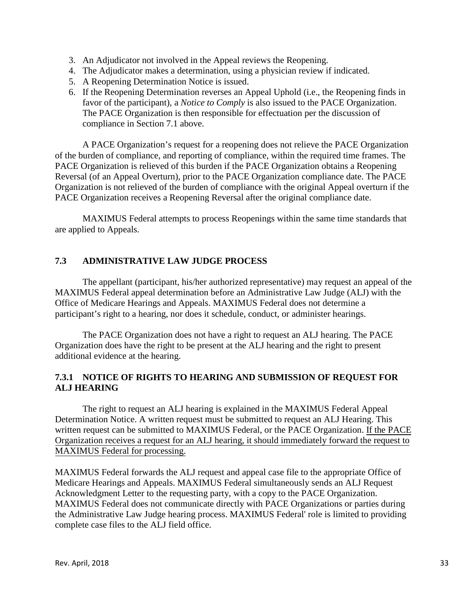- 3. An Adjudicator not involved in the Appeal reviews the Reopening.
- 4. The Adjudicator makes a determination, using a physician review if indicated.
- 5. A Reopening Determination Notice is issued.
- 6. If the Reopening Determination reverses an Appeal Uphold (i.e., the Reopening finds in favor of the participant), a *Notice to Comply* is also issued to the PACE Organization. The PACE Organization is then responsible for effectuation per the discussion of compliance in Section 7.1 above.

A PACE Organization's request for a reopening does not relieve the PACE Organization of the burden of compliance, and reporting of compliance, within the required time frames. The PACE Organization is relieved of this burden if the PACE Organization obtains a Reopening Reversal (of an Appeal Overturn), prior to the PACE Organization compliance date. The PACE Organization is not relieved of the burden of compliance with the original Appeal overturn if the PACE Organization receives a Reopening Reversal after the original compliance date.

MAXIMUS Federal attempts to process Reopenings within the same time standards that are applied to Appeals.

# **7.3 ADMINISTRATIVE LAW JUDGE PROCESS**

The appellant (participant, his/her authorized representative) may request an appeal of the MAXIMUS Federal appeal determination before an Administrative Law Judge (ALJ) with the Office of Medicare Hearings and Appeals. MAXIMUS Federal does not determine a participant's right to a hearing, nor does it schedule, conduct, or administer hearings.

The PACE Organization does not have a right to request an ALJ hearing. The PACE Organization does have the right to be present at the ALJ hearing and the right to present additional evidence at the hearing.

# **7.3.1 NOTICE OF RIGHTS TO HEARING AND SUBMISSION OF REQUEST FOR ALJ HEARING**

The right to request an ALJ hearing is explained in the MAXIMUS Federal Appeal Determination Notice. A written request must be submitted to request an ALJ Hearing. This written request can be submitted to MAXIMUS Federal, or the PACE Organization. If the PACE Organization receives a request for an ALJ hearing, it should immediately forward the request to MAXIMUS Federal for processing.

MAXIMUS Federal forwards the ALJ request and appeal case file to the appropriate Office of Medicare Hearings and Appeals. MAXIMUS Federal simultaneously sends an ALJ Request Acknowledgment Letter to the requesting party, with a copy to the PACE Organization. MAXIMUS Federal does not communicate directly with PACE Organizations or parties during the Administrative Law Judge hearing process. MAXIMUS Federal' role is limited to providing complete case files to the ALJ field office.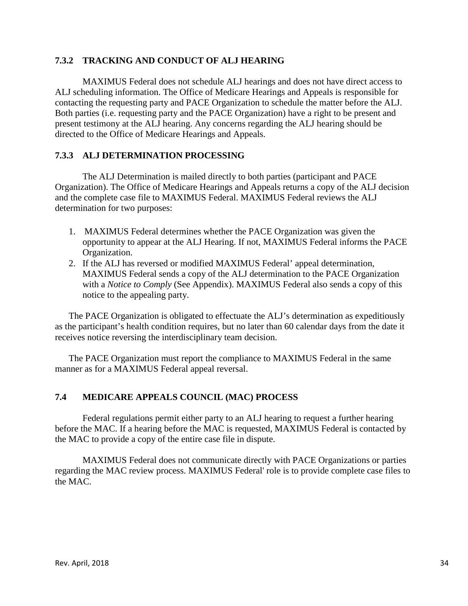### **7.3.2 TRACKING AND CONDUCT OF ALJ HEARING**

MAXIMUS Federal does not schedule ALJ hearings and does not have direct access to ALJ scheduling information. The Office of Medicare Hearings and Appeals is responsible for contacting the requesting party and PACE Organization to schedule the matter before the ALJ. Both parties (i.e. requesting party and the PACE Organization) have a right to be present and present testimony at the ALJ hearing. Any concerns regarding the ALJ hearing should be directed to the Office of Medicare Hearings and Appeals.

### **7.3.3 ALJ DETERMINATION PROCESSING**

The ALJ Determination is mailed directly to both parties (participant and PACE Organization). The Office of Medicare Hearings and Appeals returns a copy of the ALJ decision and the complete case file to MAXIMUS Federal. MAXIMUS Federal reviews the ALJ determination for two purposes:

- 1. MAXIMUS Federal determines whether the PACE Organization was given the opportunity to appear at the ALJ Hearing. If not, MAXIMUS Federal informs the PACE Organization.
- 2. If the ALJ has reversed or modified MAXIMUS Federal' appeal determination, MAXIMUS Federal sends a copy of the ALJ determination to the PACE Organization with a *Notice to Comply* (See Appendix). MAXIMUS Federal also sends a copy of this notice to the appealing party.

The PACE Organization is obligated to effectuate the ALJ's determination as expeditiously as the participant's health condition requires, but no later than 60 calendar days from the date it receives notice reversing the interdisciplinary team decision.

The PACE Organization must report the compliance to MAXIMUS Federal in the same manner as for a MAXIMUS Federal appeal reversal.

### **7.4 MEDICARE APPEALS COUNCIL (MAC) PROCESS**

Federal regulations permit either party to an ALJ hearing to request a further hearing before the MAC. If a hearing before the MAC is requested, MAXIMUS Federal is contacted by the MAC to provide a copy of the entire case file in dispute.

MAXIMUS Federal does not communicate directly with PACE Organizations or parties regarding the MAC review process. MAXIMUS Federal' role is to provide complete case files to the MAC.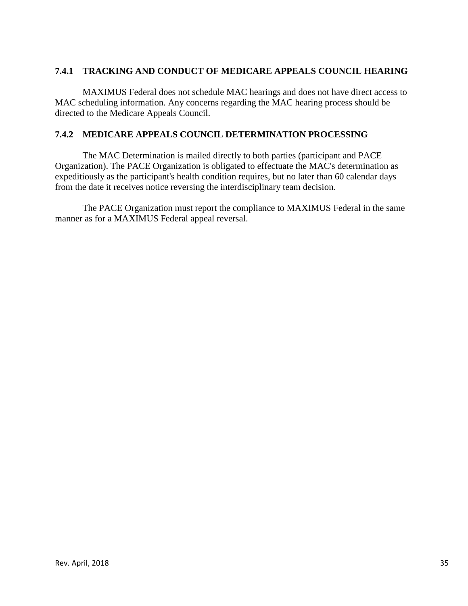# **7.4.1 TRACKING AND CONDUCT OF MEDICARE APPEALS COUNCIL HEARING**

MAXIMUS Federal does not schedule MAC hearings and does not have direct access to MAC scheduling information. Any concerns regarding the MAC hearing process should be directed to the Medicare Appeals Council.

### **7.4.2 MEDICARE APPEALS COUNCIL DETERMINATION PROCESSING**

The MAC Determination is mailed directly to both parties (participant and PACE Organization). The PACE Organization is obligated to effectuate the MAC's determination as expeditiously as the participant's health condition requires, but no later than 60 calendar days from the date it receives notice reversing the interdisciplinary team decision.

The PACE Organization must report the compliance to MAXIMUS Federal in the same manner as for a MAXIMUS Federal appeal reversal.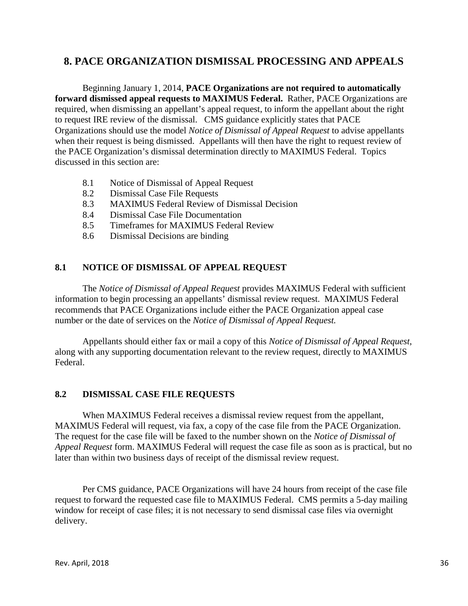# **8. PACE ORGANIZATION DISMISSAL PROCESSING AND APPEALS**

Beginning January 1, 2014, **PACE Organizations are not required to automatically forward dismissed appeal requests to MAXIMUS Federal.** Rather, PACE Organizations are required, when dismissing an appellant's appeal request, to inform the appellant about the right to request IRE review of the dismissal. CMS guidance explicitly states that PACE Organizations should use the model *Notice of Dismissal of Appeal Request* to advise appellants when their request is being dismissed. Appellants will then have the right to request review of the PACE Organization's dismissal determination directly to MAXIMUS Federal. Topics discussed in this section are:

- 8.1 Notice of Dismissal of Appeal Request
- 8.2 Dismissal Case File Requests
- 8.3 MAXIMUS Federal Review of Dismissal Decision
- 8.4 Dismissal Case File Documentation
- 8.5 Timeframes for MAXIMUS Federal Review
- 8.6 Dismissal Decisions are binding

### **8.1 NOTICE OF DISMISSAL OF APPEAL REQUEST**

The *Notice of Dismissal of Appeal Request* provides MAXIMUS Federal with sufficient information to begin processing an appellants' dismissal review request. MAXIMUS Federal recommends that PACE Organizations include either the PACE Organization appeal case number or the date of services on the *Notice of Dismissal of Appeal Request.* 

Appellants should either fax or mail a copy of this *Notice of Dismissal of Appeal Request*, along with any supporting documentation relevant to the review request, directly to MAXIMUS Federal.

# **8.2 DISMISSAL CASE FILE REQUESTS**

When MAXIMUS Federal receives a dismissal review request from the appellant, MAXIMUS Federal will request, via fax, a copy of the case file from the PACE Organization. The request for the case file will be faxed to the number shown on the *Notice of Dismissal of Appeal Request* form. MAXIMUS Federal will request the case file as soon as is practical, but no later than within two business days of receipt of the dismissal review request.

Per CMS guidance, PACE Organizations will have 24 hours from receipt of the case file request to forward the requested case file to MAXIMUS Federal. CMS permits a 5-day mailing window for receipt of case files; it is not necessary to send dismissal case files via overnight delivery.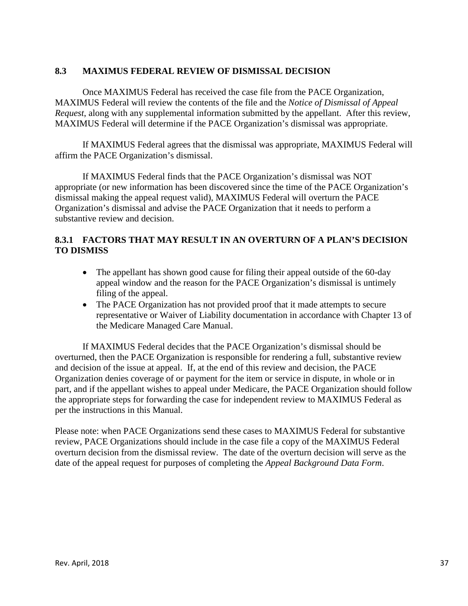### **8.3 MAXIMUS FEDERAL REVIEW OF DISMISSAL DECISION**

Once MAXIMUS Federal has received the case file from the PACE Organization, MAXIMUS Federal will review the contents of the file and the *Notice of Dismissal of Appeal Request*, along with any supplemental information submitted by the appellant. After this review, MAXIMUS Federal will determine if the PACE Organization's dismissal was appropriate.

If MAXIMUS Federal agrees that the dismissal was appropriate, MAXIMUS Federal will affirm the PACE Organization's dismissal.

If MAXIMUS Federal finds that the PACE Organization's dismissal was NOT appropriate (or new information has been discovered since the time of the PACE Organization's dismissal making the appeal request valid), MAXIMUS Federal will overturn the PACE Organization's dismissal and advise the PACE Organization that it needs to perform a substantive review and decision.

# **8.3.1 FACTORS THAT MAY RESULT IN AN OVERTURN OF A PLAN'S DECISION TO DISMISS**

- The appellant has shown good cause for filing their appeal outside of the 60-day appeal window and the reason for the PACE Organization's dismissal is untimely filing of the appeal.
- The PACE Organization has not provided proof that it made attempts to secure representative or Waiver of Liability documentation in accordance with Chapter 13 of the Medicare Managed Care Manual.

If MAXIMUS Federal decides that the PACE Organization's dismissal should be overturned, then the PACE Organization is responsible for rendering a full, substantive review and decision of the issue at appeal. If, at the end of this review and decision, the PACE Organization denies coverage of or payment for the item or service in dispute, in whole or in part, and if the appellant wishes to appeal under Medicare, the PACE Organization should follow the appropriate steps for forwarding the case for independent review to MAXIMUS Federal as per the instructions in this Manual.

Please note: when PACE Organizations send these cases to MAXIMUS Federal for substantive review, PACE Organizations should include in the case file a copy of the MAXIMUS Federal overturn decision from the dismissal review. The date of the overturn decision will serve as the date of the appeal request for purposes of completing the *Appeal Background Data Form*.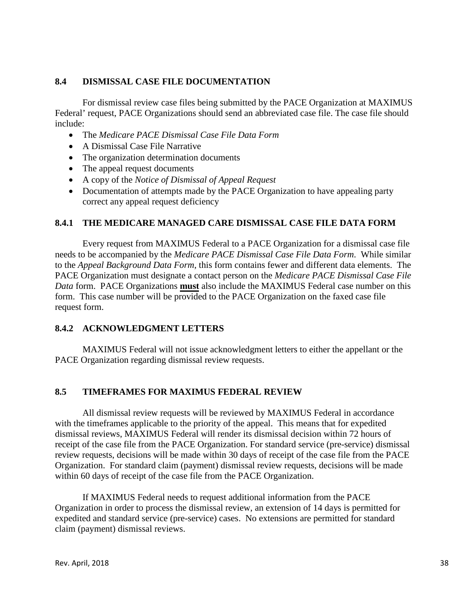### **8.4 DISMISSAL CASE FILE DOCUMENTATION**

For dismissal review case files being submitted by the PACE Organization at MAXIMUS Federal' request, PACE Organizations should send an abbreviated case file. The case file should include:

- The *Medicare PACE Dismissal Case File Data Form*
- A Dismissal Case File Narrative
- The organization determination documents
- The appeal request documents
- A copy of the *Notice of Dismissal of Appeal Request*
- Documentation of attempts made by the PACE Organization to have appealing party correct any appeal request deficiency

### **8.4.1 THE MEDICARE MANAGED CARE DISMISSAL CASE FILE DATA FORM**

Every request from MAXIMUS Federal to a PACE Organization for a dismissal case file needs to be accompanied by the *Medicare PACE Dismissal Case File Data Form*. While similar to the *Appeal Background Data Form*, this form contains fewer and different data elements. The PACE Organization must designate a contact person on the *Medicare PACE Dismissal Case File Data* form. PACE Organizations **must** also include the MAXIMUS Federal case number on this form. This case number will be provided to the PACE Organization on the faxed case file request form.

### **8.4.2 ACKNOWLEDGMENT LETTERS**

MAXIMUS Federal will not issue acknowledgment letters to either the appellant or the PACE Organization regarding dismissal review requests.

# **8.5 TIMEFRAMES FOR MAXIMUS FEDERAL REVIEW**

All dismissal review requests will be reviewed by MAXIMUS Federal in accordance with the timeframes applicable to the priority of the appeal. This means that for expedited dismissal reviews, MAXIMUS Federal will render its dismissal decision within 72 hours of receipt of the case file from the PACE Organization. For standard service (pre-service) dismissal review requests, decisions will be made within 30 days of receipt of the case file from the PACE Organization. For standard claim (payment) dismissal review requests, decisions will be made within 60 days of receipt of the case file from the PACE Organization.

If MAXIMUS Federal needs to request additional information from the PACE Organization in order to process the dismissal review, an extension of 14 days is permitted for expedited and standard service (pre-service) cases. No extensions are permitted for standard claim (payment) dismissal reviews.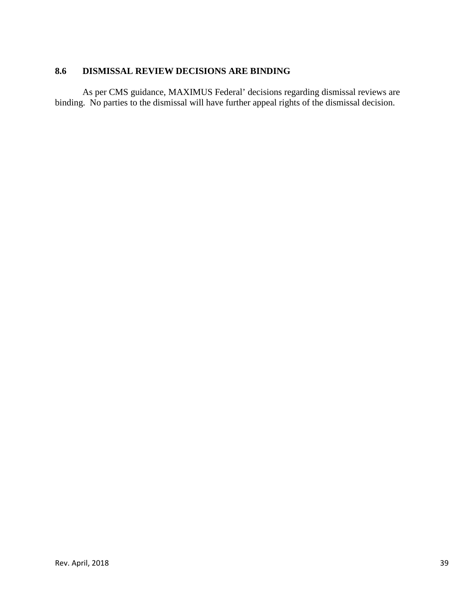# **8.6 DISMISSAL REVIEW DECISIONS ARE BINDING**

As per CMS guidance, MAXIMUS Federal' decisions regarding dismissal reviews are binding. No parties to the dismissal will have further appeal rights of the dismissal decision.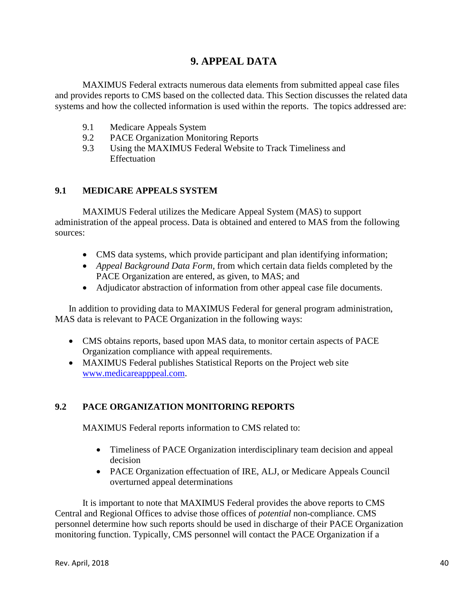# **9. APPEAL DATA**

MAXIMUS Federal extracts numerous data elements from submitted appeal case files and provides reports to CMS based on the collected data. This Section discusses the related data systems and how the collected information is used within the reports. The topics addressed are:

- 9.1 Medicare Appeals System
- 9.2 PACE Organization Monitoring Reports
- 9.3 Using the MAXIMUS Federal Website to Track Timeliness and **Effectuation**

# **9.1 MEDICARE APPEALS SYSTEM**

MAXIMUS Federal utilizes the Medicare Appeal System (MAS) to support administration of the appeal process. Data is obtained and entered to MAS from the following sources:

- CMS data systems, which provide participant and plan identifying information;
- *Appeal Background Data Form,* from which certain data fields completed by the PACE Organization are entered, as given, to MAS; and
- Adjudicator abstraction of information from other appeal case file documents.

In addition to providing data to MAXIMUS Federal for general program administration, MAS data is relevant to PACE Organization in the following ways:

- CMS obtains reports, based upon MAS data, to monitor certain aspects of PACE Organization compliance with appeal requirements.
- MAXIMUS Federal publishes Statistical Reports on the Project web site [www.medicareapppeal.com.](http://www.medicareapppeal.com/)

# **9.2 PACE ORGANIZATION MONITORING REPORTS**

MAXIMUS Federal reports information to CMS related to:

- Timeliness of PACE Organization interdisciplinary team decision and appeal decision
- PACE Organization effectuation of IRE, ALJ, or Medicare Appeals Council overturned appeal determinations

It is important to note that MAXIMUS Federal provides the above reports to CMS Central and Regional Offices to advise those offices of *potential* non-compliance. CMS personnel determine how such reports should be used in discharge of their PACE Organization monitoring function. Typically, CMS personnel will contact the PACE Organization if a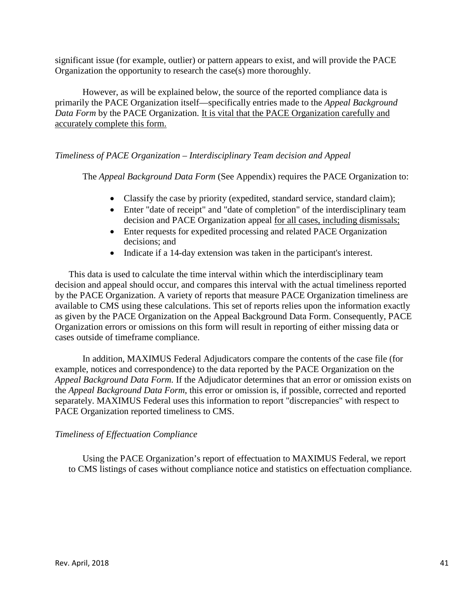significant issue (for example, outlier) or pattern appears to exist, and will provide the PACE Organization the opportunity to research the case(s) more thoroughly.

However, as will be explained below, the source of the reported compliance data is primarily the PACE Organization itself—specifically entries made to the *Appeal Background Data Form* by the PACE Organization. It is vital that the PACE Organization carefully and accurately complete this form.

### *Timeliness of PACE Organization – Interdisciplinary Team decision and Appeal*

The *Appeal Background Data Form* (See Appendix) requires the PACE Organization to:

- Classify the case by priority (expedited, standard service, standard claim);
- Enter "date of receipt" and "date of completion" of the interdisciplinary team decision and PACE Organization appeal for all cases, including dismissals;
- Enter requests for expedited processing and related PACE Organization decisions; and
- Indicate if a 14-day extension was taken in the participant's interest.

This data is used to calculate the time interval within which the interdisciplinary team decision and appeal should occur, and compares this interval with the actual timeliness reported by the PACE Organization. A variety of reports that measure PACE Organization timeliness are available to CMS using these calculations. This set of reports relies upon the information exactly as given by the PACE Organization on the Appeal Background Data Form. Consequently, PACE Organization errors or omissions on this form will result in reporting of either missing data or cases outside of timeframe compliance.

In addition, MAXIMUS Federal Adjudicators compare the contents of the case file (for example, notices and correspondence) to the data reported by the PACE Organization on the *Appeal Background Data Form.* If the Adjudicator determines that an error or omission exists on the *Appeal Background Data Form*, this error or omission is, if possible, corrected and reported separately. MAXIMUS Federal uses this information to report "discrepancies" with respect to PACE Organization reported timeliness to CMS.

### *Timeliness of Effectuation Compliance*

Using the PACE Organization's report of effectuation to MAXIMUS Federal, we report to CMS listings of cases without compliance notice and statistics on effectuation compliance.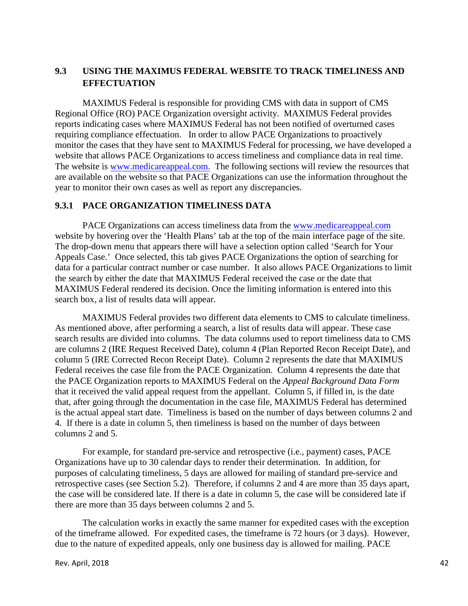# **9.3 USING THE MAXIMUS FEDERAL WEBSITE TO TRACK TIMELINESS AND EFFECTUATION**

MAXIMUS Federal is responsible for providing CMS with data in support of CMS Regional Office (RO) PACE Organization oversight activity. MAXIMUS Federal provides reports indicating cases where MAXIMUS Federal has not been notified of overturned cases requiring compliance effectuation. In order to allow PACE Organizations to proactively monitor the cases that they have sent to MAXIMUS Federal for processing, we have developed a website that allows PACE Organizations to access timeliness and compliance data in real time. The website is [www.medicareappeal.com.](http://www.medicareappeal.com./) The following sections will review the resources that are available on the website so that PACE Organizations can use the information throughout the year to monitor their own cases as well as report any discrepancies.

### **9.3.1 PACE ORGANIZATION TIMELINESS DATA**

PACE Organizations can access timeliness data from the [www.medicareappeal.com](http://www.medicareappeal.com/) website by hovering over the 'Health Plans' tab at the top of the main interface page of the site. The drop-down menu that appears there will have a selection option called 'Search for Your Appeals Case.' Once selected, this tab gives PACE Organizations the option of searching for data for a particular contract number or case number. It also allows PACE Organizations to limit the search by either the date that MAXIMUS Federal received the case or the date that MAXIMUS Federal rendered its decision. Once the limiting information is entered into this search box, a list of results data will appear.

MAXIMUS Federal provides two different data elements to CMS to calculate timeliness. As mentioned above, after performing a search, a list of results data will appear. These case search results are divided into columns. The data columns used to report timeliness data to CMS are columns 2 (IRE Request Received Date), column 4 (Plan Reported Recon Receipt Date), and column 5 (IRE Corrected Recon Receipt Date). Column 2 represents the date that MAXIMUS Federal receives the case file from the PACE Organization. Column 4 represents the date that the PACE Organization reports to MAXIMUS Federal on the *Appeal Background Data Form* that it received the valid appeal request from the appellant. Column 5, if filled in, is the date that, after going through the documentation in the case file, MAXIMUS Federal has determined is the actual appeal start date. Timeliness is based on the number of days between columns 2 and 4. If there is a date in column 5, then timeliness is based on the number of days between columns 2 and 5.

For example, for standard pre-service and retrospective (i.e., payment) cases, PACE Organizations have up to 30 calendar days to render their determination. In addition, for purposes of calculating timeliness, 5 days are allowed for mailing of standard pre-service and retrospective cases (see Section 5.2). Therefore, if columns 2 and 4 are more than 35 days apart, the case will be considered late. If there is a date in column 5, the case will be considered late if there are more than 35 days between columns 2 and 5.

The calculation works in exactly the same manner for expedited cases with the exception of the timeframe allowed. For expedited cases, the timeframe is 72 hours (or 3 days). However, due to the nature of expedited appeals, only one business day is allowed for mailing. PACE